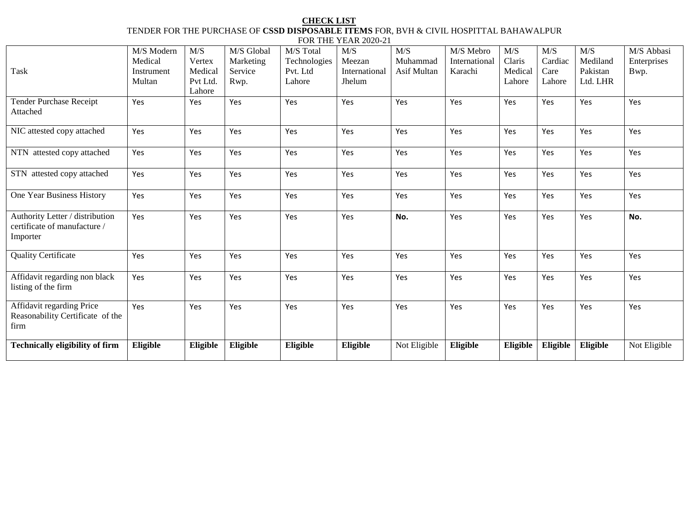## **CHECK LIST** TENDER FOR THE PURCHASE OF **CSSD DISPOSABLE ITEMS** FOR, BVH & CIVIL HOSPITTAL BAHAWALPUR FOR THE YEAR 2020 21

|                                                                             | M/S Modern                      | M/S                                     | $\overline{M/S}$ Global      | M/S Total                          | M/S                               | M/S                     | M/S Mebro                | M/S                         | M/S                       | M/S                              | M/S Abbasi          |
|-----------------------------------------------------------------------------|---------------------------------|-----------------------------------------|------------------------------|------------------------------------|-----------------------------------|-------------------------|--------------------------|-----------------------------|---------------------------|----------------------------------|---------------------|
| Task                                                                        | Medical<br>Instrument<br>Multan | Vertex<br>Medical<br>Pvt Ltd.<br>Lahore | Marketing<br>Service<br>Rwp. | Technologies<br>Pvt. Ltd<br>Lahore | Meezan<br>International<br>Jhelum | Muhammad<br>Asif Multan | International<br>Karachi | Claris<br>Medical<br>Lahore | Cardiac<br>Care<br>Lahore | Mediland<br>Pakistan<br>Ltd. LHR | Enterprises<br>Bwp. |
| <b>Tender Purchase Receipt</b><br>Attached                                  | Yes                             | Yes                                     | Yes                          | Yes                                | Yes                               | Yes                     | Yes                      | Yes                         | Yes                       | Yes                              | Yes                 |
| NIC attested copy attached                                                  | Yes                             | Yes                                     | Yes                          | Yes                                | Yes                               | Yes                     | Yes                      | Yes                         | Yes                       | Yes                              | Yes                 |
| NTN attested copy attached                                                  | Yes                             | Yes                                     | Yes                          | Yes                                | Yes                               | Yes                     | Yes                      | Yes                         | Yes                       | Yes                              | Yes                 |
| STN attested copy attached                                                  | Yes                             | Yes                                     | Yes                          | Yes                                | Yes                               | Yes                     | Yes                      | Yes                         | Yes                       | Yes                              | Yes                 |
| One Year Business History                                                   | Yes                             | Yes                                     | Yes                          | Yes                                | Yes                               | Yes                     | Yes                      | Yes                         | Yes                       | Yes                              | Yes                 |
| Authority Letter / distribution<br>certificate of manufacture /<br>Importer | Yes                             | Yes                                     | Yes                          | Yes                                | Yes                               | No.                     | Yes                      | Yes                         | Yes                       | Yes                              | No.                 |
| <b>Quality Certificate</b>                                                  | Yes                             | Yes                                     | Yes                          | Yes                                | Yes                               | Yes                     | Yes                      | Yes                         | Yes                       | Yes                              | Yes                 |
| Affidavit regarding non black<br>listing of the firm                        | Yes                             | Yes                                     | Yes                          | Yes                                | Yes                               | Yes                     | Yes                      | Yes                         | Yes                       | Yes                              | Yes                 |
| Affidavit regarding Price<br>Reasonability Certificate of the<br>firm       | Yes                             | Yes                                     | Yes                          | Yes                                | Yes                               | Yes                     | Yes                      | Yes                         | Yes                       | Yes                              | Yes                 |
| <b>Technically eligibility of firm</b>                                      | Eligible                        | Eligible                                | Eligible                     | Eligible                           | Eligible                          | Not Eligible            | Eligible                 | Eligible                    | Eligible                  | Eligible                         | Not Eligible        |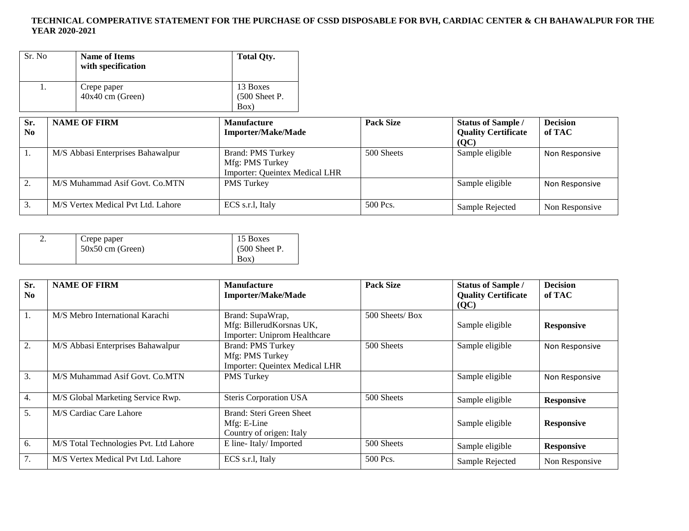## **TECHNICAL COMPERATIVE STATEMENT FOR THE PURCHASE OF CSSD DISPOSABLE FOR BVH, CARDIAC CENTER & CH BAHAWALPUR FOR THE YEAR 2020-2021**

| Sr. No | <b>Name of Items</b><br>with specification | <b>Total Qty.</b> |
|--------|--------------------------------------------|-------------------|
|        | Crepe paper                                | 13 Boxes          |
|        | 40x40 cm (Green)                           | $(500$ Sheet P.   |
|        |                                            | Box               |

| Sr.<br>N <sub>0</sub> | <b>NAME OF FIRM</b>                | <b>Manufacture</b><br><b>Importer/Make/Made</b>                                      | <b>Pack Size</b> | <b>Status of Sample /</b><br><b>Quality Certificate</b><br>(OC) | <b>Decision</b><br>of TAC |
|-----------------------|------------------------------------|--------------------------------------------------------------------------------------|------------------|-----------------------------------------------------------------|---------------------------|
|                       | M/S Abbasi Enterprises Bahawalpur  | <b>Brand: PMS Turkey</b><br>Mfg: PMS Turkey<br><b>Importer: Queintex Medical LHR</b> | 500 Sheets       | Sample eligible                                                 | Non Responsive            |
|                       | M/S Muhammad Asif Govt. Co.MTN     | <b>PMS</b> Turkey                                                                    |                  | Sample eligible                                                 | Non Responsive            |
| э.                    | M/S Vertex Medical Pvt Ltd. Lahore | ECS s.r.l, Italy                                                                     | 500 Pcs.         | Sample Rejected                                                 | Non Responsive            |

| <u>، ،</u> | Crepe paper<br>$50x50$ cm (Green) | 15 Boxes<br>$(500$ Sheet P. |
|------------|-----------------------------------|-----------------------------|
|            |                                   | Box                         |

| Sr.<br>N <sub>0</sub> | <b>NAME OF FIRM</b>                    | <b>Manufacture</b><br><b>Importer/Make/Made</b>                                      | <b>Pack Size</b> | <b>Status of Sample /</b><br><b>Quality Certificate</b><br>(QC) | <b>Decision</b><br>of TAC |
|-----------------------|----------------------------------------|--------------------------------------------------------------------------------------|------------------|-----------------------------------------------------------------|---------------------------|
| 1.                    | M/S Mebro International Karachi        | Brand: SupaWrap,<br>Mfg: BillerudKorsnas UK,<br>Importer: Uniprom Healthcare         | 500 Sheets/Box   | Sample eligible                                                 | <b>Responsive</b>         |
| 2.                    | M/S Abbasi Enterprises Bahawalpur      | <b>Brand: PMS Turkey</b><br>Mfg: PMS Turkey<br><b>Importer: Queintex Medical LHR</b> | 500 Sheets       | Sample eligible                                                 | Non Responsive            |
| 3.                    | M/S Muhammad Asif Govt. Co.MTN         | <b>PMS</b> Turkey                                                                    |                  | Sample eligible                                                 | Non Responsive            |
| 4.                    | M/S Global Marketing Service Rwp.      | <b>Steris Corporation USA</b>                                                        | 500 Sheets       | Sample eligible                                                 | <b>Responsive</b>         |
| 5.                    | M/S Cardiac Care Lahore                | Brand: Steri Green Sheet<br>Mfg: E-Line<br>Country of origen: Italy                  |                  | Sample eligible                                                 | <b>Responsive</b>         |
| 6.                    | M/S Total Technologies Pvt. Ltd Lahore | E line-Italy/Imported                                                                | 500 Sheets       | Sample eligible                                                 | <b>Responsive</b>         |
| 7.                    | M/S Vertex Medical Pvt Ltd. Lahore     | ECS s.r.l, Italy                                                                     | 500 Pcs.         | Sample Rejected                                                 | Non Responsive            |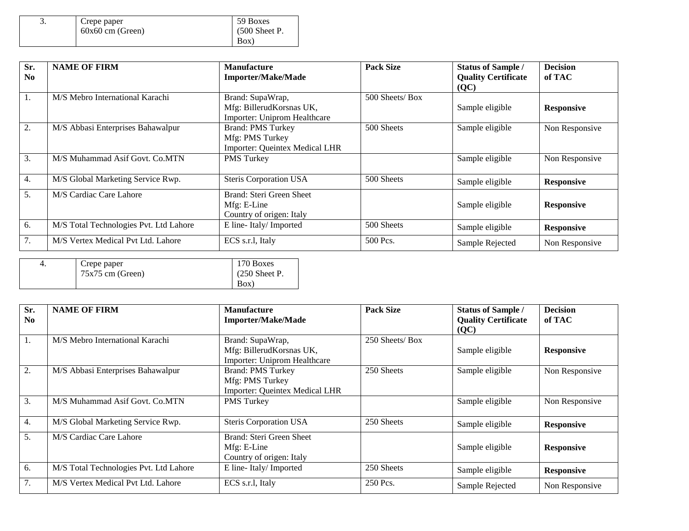| J. | Crepe paper        | 59 Boxes        |
|----|--------------------|-----------------|
|    | $60x60$ cm (Green) | $(500$ Sheet P. |
|    |                    | Box)            |

| Sr.<br>$\bf No$ | <b>NAME OF FIRM</b>                    | <b>Manufacture</b><br><b>Importer/Make/Made</b>                               | <b>Pack Size</b> | <b>Status of Sample /</b><br><b>Quality Certificate</b><br>(QC) | <b>Decision</b><br>of TAC |
|-----------------|----------------------------------------|-------------------------------------------------------------------------------|------------------|-----------------------------------------------------------------|---------------------------|
| 1.              | M/S Mebro International Karachi        | Brand: SupaWrap,<br>Mfg: BillerudKorsnas UK,<br>Importer: Uniprom Healthcare  | 500 Sheets/Box   | Sample eligible                                                 | <b>Responsive</b>         |
| 2.              | M/S Abbasi Enterprises Bahawalpur      | <b>Brand: PMS Turkey</b><br>Mfg: PMS Turkey<br>Importer: Queintex Medical LHR | 500 Sheets       | Sample eligible                                                 | Non Responsive            |
| 3.              | M/S Muhammad Asif Govt. Co.MTN         | <b>PMS</b> Turkey                                                             |                  | Sample eligible                                                 | Non Responsive            |
| 4.              | M/S Global Marketing Service Rwp.      | <b>Steris Corporation USA</b>                                                 | 500 Sheets       | Sample eligible                                                 | <b>Responsive</b>         |
| 5.              | M/S Cardiac Care Lahore                | Brand: Steri Green Sheet<br>Mfg: E-Line<br>Country of origen: Italy           |                  | Sample eligible                                                 | <b>Responsive</b>         |
| 6.              | M/S Total Technologies Pvt. Ltd Lahore | E line-Italy/Imported                                                         | 500 Sheets       | Sample eligible                                                 | <b>Responsive</b>         |
| 7.              | M/S Vertex Medical Pvt Ltd. Lahore     | ECS s.r.l, Italy                                                              | 500 Pcs.         | Sample Rejected                                                 | Non Responsive            |

| 4. | Crepe paper        | $\pm$ 170 Boxes |
|----|--------------------|-----------------|
|    | $75x75$ cm (Green) | $(250$ Sheet P. |
|    |                    | Box)            |

| Sr.<br>N <sub>0</sub> | <b>NAME OF FIRM</b>                    | <b>Manufacture</b><br><b>Importer/Make/Made</b>                               | <b>Pack Size</b> | <b>Status of Sample /</b><br><b>Quality Certificate</b><br>(QC) | <b>Decision</b><br>of TAC |
|-----------------------|----------------------------------------|-------------------------------------------------------------------------------|------------------|-----------------------------------------------------------------|---------------------------|
| 1.                    | M/S Mebro International Karachi        | Brand: SupaWrap,<br>Mfg: BillerudKorsnas UK,<br>Importer: Uniprom Healthcare  | 250 Sheets/Box   | Sample eligible                                                 | <b>Responsive</b>         |
| 2.                    | M/S Abbasi Enterprises Bahawalpur      | <b>Brand: PMS Turkey</b><br>Mfg: PMS Turkey<br>Importer: Queintex Medical LHR | 250 Sheets       | Sample eligible                                                 | Non Responsive            |
| 3.                    | M/S Muhammad Asif Govt. Co.MTN         | <b>PMS</b> Turkey                                                             |                  | Sample eligible                                                 | Non Responsive            |
| 4.                    | M/S Global Marketing Service Rwp.      | <b>Steris Corporation USA</b>                                                 | 250 Sheets       | Sample eligible                                                 | <b>Responsive</b>         |
| 5.                    | M/S Cardiac Care Lahore                | Brand: Steri Green Sheet<br>Mfg: E-Line<br>Country of origen: Italy           |                  | Sample eligible                                                 | <b>Responsive</b>         |
| 6.                    | M/S Total Technologies Pvt. Ltd Lahore | E line-Italy/Imported                                                         | 250 Sheets       | Sample eligible                                                 | <b>Responsive</b>         |
| 7.                    | M/S Vertex Medical Pvt Ltd. Lahore     | ECS s.r.l, Italy                                                              | 250 Pcs.         | Sample Rejected                                                 | Non Responsive            |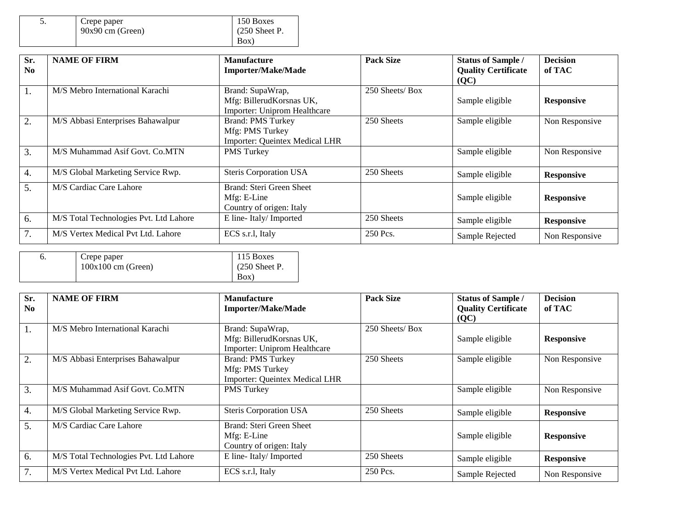5. Crepe paper 90x90 cm (Green) 150 Boxes (250 Sheet P.  $\overrightarrow{Box}$ 

| Sr.<br>N <sub>0</sub> | <b>NAME OF FIRM</b>                    | <b>Manufacture</b><br><b>Importer/Make/Made</b>                                      | <b>Pack Size</b> | <b>Status of Sample /</b><br><b>Quality Certificate</b><br>(QC) | <b>Decision</b><br>of TAC |
|-----------------------|----------------------------------------|--------------------------------------------------------------------------------------|------------------|-----------------------------------------------------------------|---------------------------|
| ı.                    | M/S Mebro International Karachi        | Brand: SupaWrap,<br>Mfg: BillerudKorsnas UK,<br>Importer: Uniprom Healthcare         | 250 Sheets/Box   | Sample eligible                                                 | <b>Responsive</b>         |
| 2.                    | M/S Abbasi Enterprises Bahawalpur      | <b>Brand: PMS Turkey</b><br>Mfg: PMS Turkey<br><b>Importer: Queintex Medical LHR</b> | 250 Sheets       | Sample eligible                                                 | Non Responsive            |
| 3.                    | M/S Muhammad Asif Govt. Co.MTN         | <b>PMS</b> Turkey                                                                    |                  | Sample eligible                                                 | Non Responsive            |
| 4.                    | M/S Global Marketing Service Rwp.      | Steris Corporation USA                                                               | 250 Sheets       | Sample eligible                                                 | <b>Responsive</b>         |
| 5.                    | M/S Cardiac Care Lahore                | Brand: Steri Green Sheet<br>Mfg: E-Line<br>Country of origen: Italy                  |                  | Sample eligible                                                 | <b>Responsive</b>         |
| 6.                    | M/S Total Technologies Pvt. Ltd Lahore | E line-Italy/Imported                                                                | 250 Sheets       | Sample eligible                                                 | <b>Responsive</b>         |
| 7.                    | M/S Vertex Medical Pvt Ltd. Lahore     | ECS s.r.l, Italy                                                                     | 250 Pcs.         | Sample Rejected                                                 | Non Responsive            |

| Crepe paper<br>$100x100$ cm (Green) | 115 Boxes<br>$(250$ Sheet P.<br>Box) |
|-------------------------------------|--------------------------------------|
|-------------------------------------|--------------------------------------|

| Sr.<br>$\bf No$  | <b>NAME OF FIRM</b>                    | <b>Manufacture</b><br><b>Importer/Make/Made</b>                                      | <b>Pack Size</b> | <b>Status of Sample /</b><br><b>Quality Certificate</b><br>(QC) | <b>Decision</b><br>of TAC |
|------------------|----------------------------------------|--------------------------------------------------------------------------------------|------------------|-----------------------------------------------------------------|---------------------------|
| 1.               | M/S Mebro International Karachi        | Brand: SupaWrap,<br>Mfg: BillerudKorsnas UK,<br>Importer: Uniprom Healthcare         | 250 Sheets/Box   | Sample eligible                                                 | <b>Responsive</b>         |
| 2.               | M/S Abbasi Enterprises Bahawalpur      | <b>Brand: PMS Turkey</b><br>Mfg: PMS Turkey<br><b>Importer: Queintex Medical LHR</b> | 250 Sheets       | Sample eligible                                                 | Non Responsive            |
| 3.               | M/S Muhammad Asif Govt. Co.MTN         | <b>PMS</b> Turkey                                                                    |                  | Sample eligible                                                 | Non Responsive            |
| $\overline{4}$ . | M/S Global Marketing Service Rwp.      | Steris Corporation USA                                                               | 250 Sheets       | Sample eligible                                                 | <b>Responsive</b>         |
| 5.               | M/S Cardiac Care Lahore                | Brand: Steri Green Sheet<br>Mfg: E-Line<br>Country of origen: Italy                  |                  | Sample eligible                                                 | <b>Responsive</b>         |
| 6.               | M/S Total Technologies Pvt. Ltd Lahore | E line-Italy/Imported                                                                | 250 Sheets       | Sample eligible                                                 | <b>Responsive</b>         |
| 7.               | M/S Vertex Medical Pvt Ltd. Lahore     | ECS s.r.l, Italy                                                                     | 250 Pcs.         | Sample Rejected                                                 | Non Responsive            |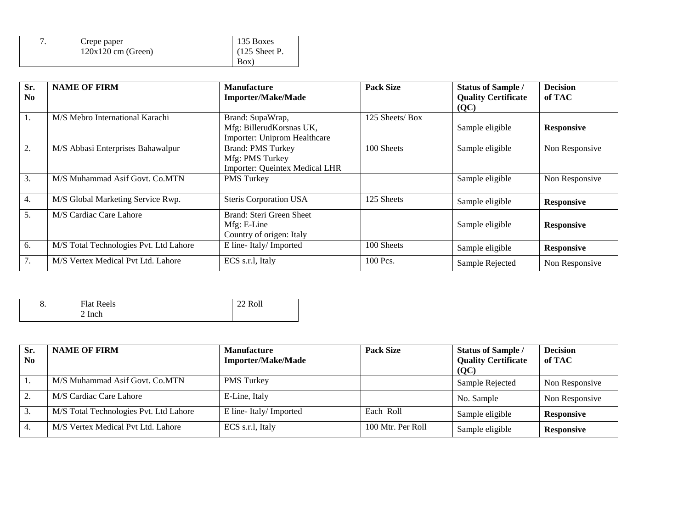| Crepe paper<br>$120x120$ cm (Green) | 135 Boxes<br>$(125$ Sheet P. |
|-------------------------------------|------------------------------|
|                                     | Box)                         |

| Sr.<br>$\bf No$ | <b>NAME OF FIRM</b>                    | <b>Manufacture</b><br><b>Importer/Make/Made</b>                                      | <b>Pack Size</b> | <b>Status of Sample /</b><br><b>Quality Certificate</b><br>(QC) | <b>Decision</b><br>of TAC |
|-----------------|----------------------------------------|--------------------------------------------------------------------------------------|------------------|-----------------------------------------------------------------|---------------------------|
|                 | M/S Mebro International Karachi        | Brand: SupaWrap,<br>Mfg: BillerudKorsnas UK,<br>Importer: Uniprom Healthcare         | 125 Sheets/Box   | Sample eligible                                                 | <b>Responsive</b>         |
| 2.              | M/S Abbasi Enterprises Bahawalpur      | <b>Brand: PMS Turkey</b><br>Mfg: PMS Turkey<br><b>Importer: Queintex Medical LHR</b> | 100 Sheets       | Sample eligible                                                 | Non Responsive            |
| 3.              | M/S Muhammad Asif Govt. Co.MTN         | <b>PMS</b> Turkey                                                                    |                  | Sample eligible                                                 | Non Responsive            |
| 4.              | M/S Global Marketing Service Rwp.      | <b>Steris Corporation USA</b>                                                        | 125 Sheets       | Sample eligible                                                 | <b>Responsive</b>         |
| 5.              | M/S Cardiac Care Lahore                | Brand: Steri Green Sheet<br>Mfg: E-Line<br>Country of origen: Italy                  |                  | Sample eligible                                                 | <b>Responsive</b>         |
| 6.              | M/S Total Technologies Pvt. Ltd Lahore | E line-Italy/Imported                                                                | 100 Sheets       | Sample eligible                                                 | <b>Responsive</b>         |
| 7.              | M/S Vertex Medical Pvt Ltd. Lahore     | ECS s.r.l, Italy                                                                     | 100 Pcs.         | Sample Rejected                                                 | Non Responsive            |

| о. | <b>Flat Reels</b> | 22 Roll |
|----|-------------------|---------|
|    | 2 Inch            |         |

| Sr. | <b>NAME OF FIRM</b>                    | <b>Manufacture</b>        | <b>Pack Size</b>  | <b>Status of Sample /</b>  | <b>Decision</b>   |
|-----|----------------------------------------|---------------------------|-------------------|----------------------------|-------------------|
| No. |                                        | <b>Importer/Make/Made</b> |                   | <b>Quality Certificate</b> | of TAC            |
|     |                                        |                           |                   | (OC)                       |                   |
|     | M/S Muhammad Asif Govt. Co.MTN         | <b>PMS</b> Turkey         |                   | Sample Rejected            | Non Responsive    |
| 2.  | M/S Cardiac Care Lahore                | E-Line, Italy             |                   | No. Sample                 | Non Responsive    |
| 3.  | M/S Total Technologies Pvt. Ltd Lahore | E line-Italy/Imported     | Each Roll         | Sample eligible            | <b>Responsive</b> |
| 4.  | M/S Vertex Medical Pvt Ltd. Lahore     | ECS s.r.l, Italy          | 100 Mtr. Per Roll | Sample eligible            | <b>Responsive</b> |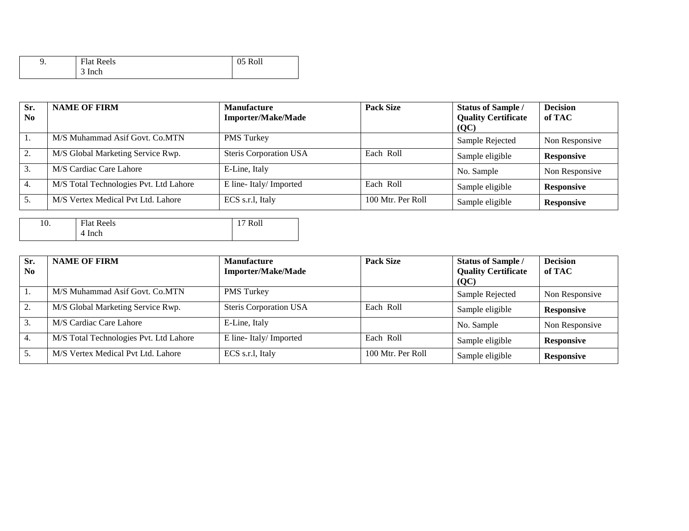| ╯. | <b>Flat Reels</b> | 05 Roll |
|----|-------------------|---------|
|    | 3 Inch            |         |

| Sr.<br>$\bf N_0$ | <b>NAME OF FIRM</b>                    | <b>Manufacture</b><br><b>Importer/Make/Made</b> | <b>Pack Size</b>  | <b>Status of Sample /</b><br><b>Quality Certificate</b> | <b>Decision</b><br>of TAC |
|------------------|----------------------------------------|-------------------------------------------------|-------------------|---------------------------------------------------------|---------------------------|
|                  |                                        |                                                 |                   | (QC)                                                    |                           |
|                  | M/S Muhammad Asif Govt. Co.MTN         | <b>PMS</b> Turkey                               |                   | Sample Rejected                                         | Non Responsive            |
| 2.               | M/S Global Marketing Service Rwp.      | Steris Corporation USA                          | Each Roll         | Sample eligible                                         | <b>Responsive</b>         |
| 3.               | M/S Cardiac Care Lahore                | E-Line, Italy                                   |                   | No. Sample                                              | Non Responsive            |
|                  | M/S Total Technologies Pvt. Ltd Lahore | E line-Italy/Imported                           | Each Roll         | Sample eligible                                         | <b>Responsive</b>         |
| 5.               | M/S Vertex Medical Pvt Ltd. Lahore     | ECS s.r.l, Italy                                | 100 Mtr. Per Roll | Sample eligible                                         | <b>Responsive</b>         |

| 10. | <b>Flat Reels</b> | 17 Roll |
|-----|-------------------|---------|
|     | 4 Inch            |         |

| Sr. | <b>NAME OF FIRM</b>                    | <b>Manufacture</b>            | <b>Pack Size</b>  | <b>Status of Sample /</b>  | <b>Decision</b>   |
|-----|----------------------------------------|-------------------------------|-------------------|----------------------------|-------------------|
| No. |                                        | <b>Importer/Make/Made</b>     |                   | <b>Quality Certificate</b> | of TAC            |
|     |                                        |                               |                   | (QC)                       |                   |
|     | M/S Muhammad Asif Govt. Co.MTN         | <b>PMS</b> Turkey             |                   | Sample Rejected            | Non Responsive    |
| 2.  | M/S Global Marketing Service Rwp.      | <b>Steris Corporation USA</b> | Each Roll         | Sample eligible            | <b>Responsive</b> |
| 3.  | M/S Cardiac Care Lahore                | E-Line, Italy                 |                   | No. Sample                 | Non Responsive    |
| 4.  | M/S Total Technologies Pvt. Ltd Lahore | E line-Italy/Imported         | Each Roll         | Sample eligible            | <b>Responsive</b> |
| 5.  | M/S Vertex Medical Pvt Ltd. Lahore     | ECS s.r.l, Italy              | 100 Mtr. Per Roll | Sample eligible            | <b>Responsive</b> |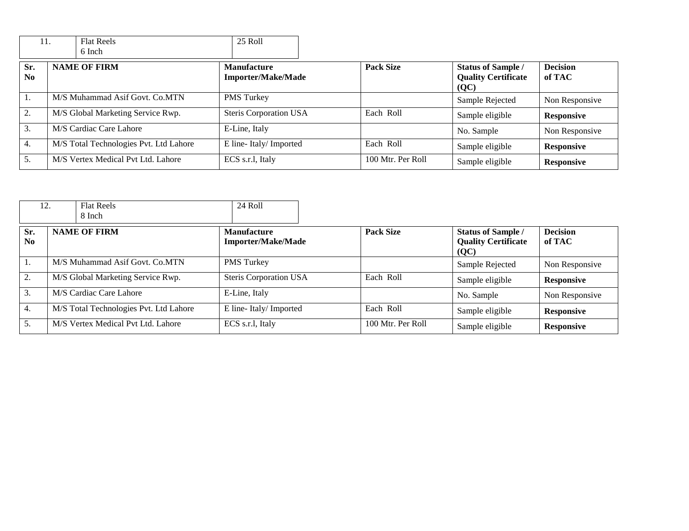|                 | <b>Flat Reels</b><br>11.<br>6 Inch     | 25 Roll                                         |                   |                                                                 |                           |
|-----------------|----------------------------------------|-------------------------------------------------|-------------------|-----------------------------------------------------------------|---------------------------|
| Sr.<br>$\bf No$ | <b>NAME OF FIRM</b>                    | <b>Manufacture</b><br><b>Importer/Make/Made</b> | <b>Pack Size</b>  | <b>Status of Sample /</b><br><b>Quality Certificate</b><br>(QC) | <b>Decision</b><br>of TAC |
| 1.              | M/S Muhammad Asif Govt. Co.MTN         | <b>PMS</b> Turkey                               |                   | Sample Rejected                                                 | Non Responsive            |
| 2.              | M/S Global Marketing Service Rwp.      | <b>Steris Corporation USA</b>                   | Each Roll         | Sample eligible                                                 | <b>Responsive</b>         |
| 3.              | M/S Cardiac Care Lahore                | E-Line, Italy                                   |                   | No. Sample                                                      | Non Responsive            |
| 4.              | M/S Total Technologies Pvt. Ltd Lahore | E line-Italy/Imported                           | Each Roll         | Sample eligible                                                 | <b>Responsive</b>         |
| 5.              | M/S Vertex Medical Pvt Ltd. Lahore     | ECS s.r.l, Italy                                | 100 Mtr. Per Roll | Sample eligible                                                 | <b>Responsive</b>         |

| 12.                   | <b>Flat Reels</b>                      | 24 Roll                                         |                   |                                                                 |                           |
|-----------------------|----------------------------------------|-------------------------------------------------|-------------------|-----------------------------------------------------------------|---------------------------|
|                       | 8 Inch                                 |                                                 |                   |                                                                 |                           |
| Sr.<br>N <sub>0</sub> | <b>NAME OF FIRM</b>                    | <b>Manufacture</b><br><b>Importer/Make/Made</b> | <b>Pack Size</b>  | <b>Status of Sample /</b><br><b>Quality Certificate</b><br>(QC) | <b>Decision</b><br>of TAC |
| 1.                    | M/S Muhammad Asif Govt. Co.MTN         | <b>PMS</b> Turkey                               |                   | Sample Rejected                                                 | Non Responsive            |
| 2.                    | M/S Global Marketing Service Rwp.      | Steris Corporation USA                          | Each Roll         | Sample eligible                                                 | <b>Responsive</b>         |
| 3.                    | M/S Cardiac Care Lahore                | E-Line, Italy                                   |                   | No. Sample                                                      | Non Responsive            |
| 4.                    | M/S Total Technologies Pvt. Ltd Lahore | E line-Italy/Imported                           | Each Roll         | Sample eligible                                                 | <b>Responsive</b>         |
| 5.                    | M/S Vertex Medical Pvt Ltd. Lahore     | ECS s.r.l, Italy                                | 100 Mtr. Per Roll | Sample eligible                                                 | <b>Responsive</b>         |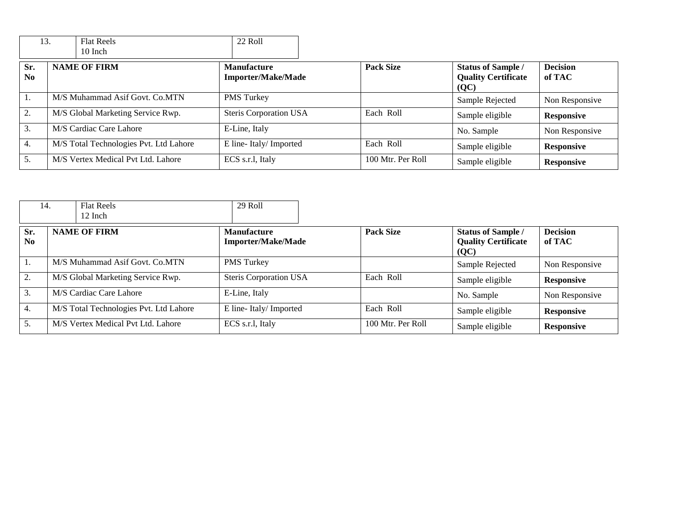| 13.                   | <b>Flat Reels</b><br>10 Inch           | 22 Roll                                         |                   |                                                                 |                           |
|-----------------------|----------------------------------------|-------------------------------------------------|-------------------|-----------------------------------------------------------------|---------------------------|
| Sr.<br>N <sub>0</sub> | <b>NAME OF FIRM</b>                    | <b>Manufacture</b><br><b>Importer/Make/Made</b> | <b>Pack Size</b>  | <b>Status of Sample /</b><br><b>Quality Certificate</b><br>(QC) | <b>Decision</b><br>of TAC |
| 1.                    | M/S Muhammad Asif Govt. Co.MTN         | <b>PMS</b> Turkey                               |                   | Sample Rejected                                                 | Non Responsive            |
| 2.                    | M/S Global Marketing Service Rwp.      | <b>Steris Corporation USA</b>                   | Each Roll         | Sample eligible                                                 | <b>Responsive</b>         |
| 3.                    | M/S Cardiac Care Lahore                | E-Line, Italy                                   |                   | No. Sample                                                      | Non Responsive            |
| $\overline{4}$ .      | M/S Total Technologies Pvt. Ltd Lahore | E line-Italy/Imported                           | Each Roll         | Sample eligible                                                 | <b>Responsive</b>         |
| 5.                    | M/S Vertex Medical Pvt Ltd. Lahore     | ECS s.r.l, Italy                                | 100 Mtr. Per Roll | Sample eligible                                                 | <b>Responsive</b>         |

| 14.                   | <b>Flat Reels</b>                      | 29 Roll                                         |                   |                                                                 |                           |
|-----------------------|----------------------------------------|-------------------------------------------------|-------------------|-----------------------------------------------------------------|---------------------------|
|                       | 12 Inch                                |                                                 |                   |                                                                 |                           |
| Sr.<br>N <sub>0</sub> | <b>NAME OF FIRM</b>                    | <b>Manufacture</b><br><b>Importer/Make/Made</b> | <b>Pack Size</b>  | <b>Status of Sample /</b><br><b>Quality Certificate</b><br>(QC) | <b>Decision</b><br>of TAC |
| 1.                    | M/S Muhammad Asif Govt. Co.MTN         | <b>PMS</b> Turkey                               |                   | Sample Rejected                                                 | Non Responsive            |
| 2.                    | M/S Global Marketing Service Rwp.      | Steris Corporation USA                          | Each Roll         | Sample eligible                                                 | <b>Responsive</b>         |
| 3.                    | M/S Cardiac Care Lahore                | E-Line, Italy                                   |                   | No. Sample                                                      | Non Responsive            |
| 4.                    | M/S Total Technologies Pvt. Ltd Lahore | E line-Italy/Imported                           | Each Roll         | Sample eligible                                                 | <b>Responsive</b>         |
| 5.                    | M/S Vertex Medical Pvt Ltd. Lahore     | ECS s.r.l, Italy                                | 100 Mtr. Per Roll | Sample eligible                                                 | <b>Responsive</b>         |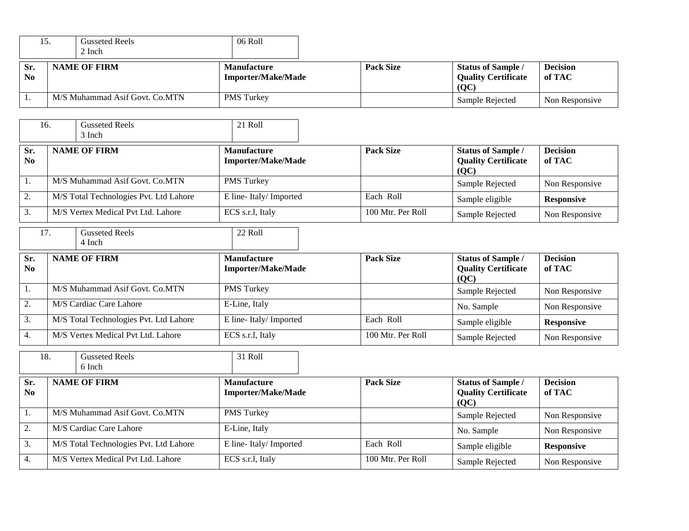| 15.                   |  | Gusseted Reels<br>2 Inch       | 06 Roll                                         |                  |                                                                 |                           |
|-----------------------|--|--------------------------------|-------------------------------------------------|------------------|-----------------------------------------------------------------|---------------------------|
| Sr.<br>N <sub>0</sub> |  | <b>NAME OF FIRM</b>            | <b>Manufacture</b><br><b>Importer/Make/Made</b> | <b>Pack Size</b> | <b>Status of Sample /</b><br><b>Quality Certificate</b><br>(OC) | <b>Decision</b><br>of TAC |
|                       |  | M/S Muhammad Asif Govt. Co.MTN | <b>PMS</b> Turkey                               |                  | Sample Rejected                                                 | Non Responsive            |

| 16.                   | <b>Gusseted Reels</b><br>3 Inch        | 21 Roll                                         |                   |                                                                 |                           |
|-----------------------|----------------------------------------|-------------------------------------------------|-------------------|-----------------------------------------------------------------|---------------------------|
| Sr.<br>N <sub>0</sub> | <b>NAME OF FIRM</b>                    | <b>Manufacture</b><br><b>Importer/Make/Made</b> | <b>Pack Size</b>  | <b>Status of Sample /</b><br><b>Quality Certificate</b><br>(QC) | <b>Decision</b><br>of TAC |
| -1.                   | M/S Muhammad Asif Govt. Co.MTN         | <b>PMS</b> Turkey                               |                   | Sample Rejected                                                 | Non Responsive            |
| 2.                    | M/S Total Technologies Pvt. Ltd Lahore | E line-Italy/Imported                           | Each Roll         | Sample eligible                                                 | <b>Responsive</b>         |
| 3.                    | M/S Vertex Medical Pvt Ltd. Lahore     | ECS s.r.l, Italy                                | 100 Mtr. Per Roll | Sample Rejected                                                 | Non Responsive            |
| 17.                   | Gusseted Reels                         | 22 Roll                                         |                   |                                                                 |                           |

|            |                     | 4 Inch                                 |                                                 |                   |                                                                 |                           |
|------------|---------------------|----------------------------------------|-------------------------------------------------|-------------------|-----------------------------------------------------------------|---------------------------|
| Sr.<br>No. | <b>NAME OF FIRM</b> |                                        | <b>Manufacture</b><br><b>Importer/Make/Made</b> | <b>Pack Size</b>  | <b>Status of Sample /</b><br><b>Quality Certificate</b><br>(QC) | <b>Decision</b><br>of TAC |
| -1.        |                     | M/S Muhammad Asif Govt. Co.MTN         | <b>PMS</b> Turkey                               |                   | Sample Rejected                                                 | Non Responsive            |
| 2.         |                     | M/S Cardiac Care Lahore                | E-Line, Italy                                   |                   | No. Sample                                                      | Non Responsive            |
| 3.         |                     | M/S Total Technologies Pvt. Ltd Lahore | E line-Italy/Imported                           | Each Roll         | Sample eligible                                                 | <b>Responsive</b>         |
| 4.         |                     | M/S Vertex Medical Pvt Ltd. Lahore     | ECS s.r.l, Italy                                | 100 Mtr. Per Roll | Sample Rejected                                                 | Non Responsive            |

| 18.<br><b>Gusseted Reels</b><br>6 Inch |                                        | 31 Roll                                         |                   |                                                                 |                           |
|----------------------------------------|----------------------------------------|-------------------------------------------------|-------------------|-----------------------------------------------------------------|---------------------------|
| Sr.<br>No.                             | <b>NAME OF FIRM</b>                    | <b>Manufacture</b><br><b>Importer/Make/Made</b> | <b>Pack Size</b>  | <b>Status of Sample /</b><br><b>Quality Certificate</b><br>(QC) | <b>Decision</b><br>of TAC |
| -1.                                    | M/S Muhammad Asif Govt. Co.MTN         | <b>PMS</b> Turkey                               |                   | Sample Rejected                                                 | Non Responsive            |
| 2.                                     | M/S Cardiac Care Lahore                | E-Line, Italy                                   |                   | No. Sample                                                      | Non Responsive            |
| $\overline{3}$ .                       | M/S Total Technologies Pvt. Ltd Lahore | E line-Italy/Imported                           | Each Roll         | Sample eligible                                                 | <b>Responsive</b>         |
| 4.                                     | M/S Vertex Medical Pvt Ltd. Lahore     | ECS s.r.l, Italy                                | 100 Mtr. Per Roll | Sample Rejected                                                 | Non Responsive            |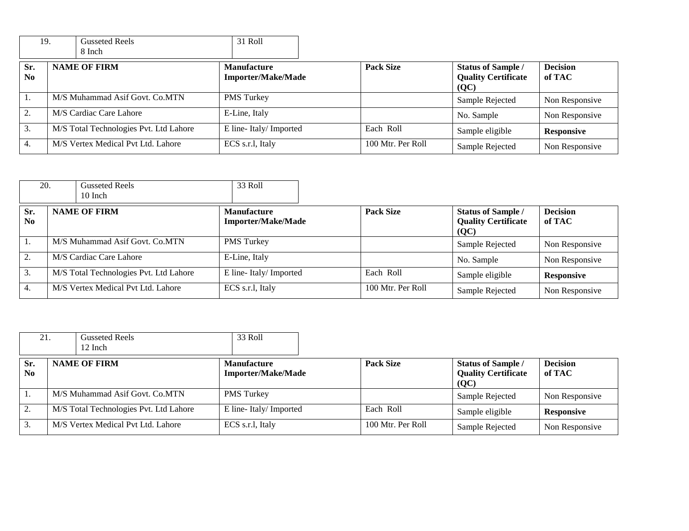| 19.              | <b>Gusseted Reels</b><br>8 Inch        | 31 Roll                                         |                   |                                                                 |                           |
|------------------|----------------------------------------|-------------------------------------------------|-------------------|-----------------------------------------------------------------|---------------------------|
| Sr.<br>No.       | <b>NAME OF FIRM</b>                    | <b>Manufacture</b><br><b>Importer/Make/Made</b> | <b>Pack Size</b>  | <b>Status of Sample /</b><br><b>Quality Certificate</b><br>(QC) | <b>Decision</b><br>of TAC |
| -1.              | M/S Muhammad Asif Govt. Co.MTN         | <b>PMS</b> Turkey                               |                   | Sample Rejected                                                 | Non Responsive            |
| 2.               | M/S Cardiac Care Lahore                | E-Line, Italy                                   |                   | No. Sample                                                      | Non Responsive            |
| $\overline{3}$ . | M/S Total Technologies Pvt. Ltd Lahore | E line-Italy/Imported                           | Each Roll         | Sample eligible                                                 | <b>Responsive</b>         |
| $\overline{4}$ . | M/S Vertex Medical Pvt Ltd. Lahore     | ECS s.r.l, Italy                                | 100 Mtr. Per Roll | Sample Rejected                                                 | Non Responsive            |

| 20.                   | <b>Gusseted Reels</b><br>10 Inch       | 33 Roll                                         |                   |                                                                 |                           |
|-----------------------|----------------------------------------|-------------------------------------------------|-------------------|-----------------------------------------------------------------|---------------------------|
| Sr.<br>N <sub>0</sub> | <b>NAME OF FIRM</b>                    | <b>Manufacture</b><br><b>Importer/Make/Made</b> | <b>Pack Size</b>  | <b>Status of Sample /</b><br><b>Quality Certificate</b><br>(QC) | <b>Decision</b><br>of TAC |
|                       | M/S Muhammad Asif Govt. Co.MTN         | <b>PMS</b> Turkey                               |                   | Sample Rejected                                                 | Non Responsive            |
| 2.                    | M/S Cardiac Care Lahore                | E-Line, Italy                                   |                   | No. Sample                                                      | Non Responsive            |
| 3.                    | M/S Total Technologies Pvt. Ltd Lahore | E line-Italy/Imported                           | Each Roll         | Sample eligible                                                 | <b>Responsive</b>         |
| 4.                    | M/S Vertex Medical Pvt Ltd. Lahore     | ECS s.r.l, Italy                                | 100 Mtr. Per Roll | Sample Rejected                                                 | Non Responsive            |

| 21.        | <b>Gusseted Reels</b><br>12 Inch       | 33 Roll                                         |                   |                                                                 |                           |
|------------|----------------------------------------|-------------------------------------------------|-------------------|-----------------------------------------------------------------|---------------------------|
| Sr.<br>No. | <b>NAME OF FIRM</b>                    | <b>Manufacture</b><br><b>Importer/Make/Made</b> | <b>Pack Size</b>  | <b>Status of Sample /</b><br><b>Quality Certificate</b><br>(QC) | <b>Decision</b><br>of TAC |
|            | M/S Muhammad Asif Govt. Co.MTN         | <b>PMS</b> Turkey                               |                   | Sample Rejected                                                 | Non Responsive            |
| 2.         | M/S Total Technologies Pvt. Ltd Lahore | E line-Italy/Imported                           | Each Roll         | Sample eligible                                                 | <b>Responsive</b>         |
| 3.         | M/S Vertex Medical Pvt Ltd. Lahore     | ECS s.r.l, Italy                                | 100 Mtr. Per Roll | Sample Rejected                                                 | Non Responsive            |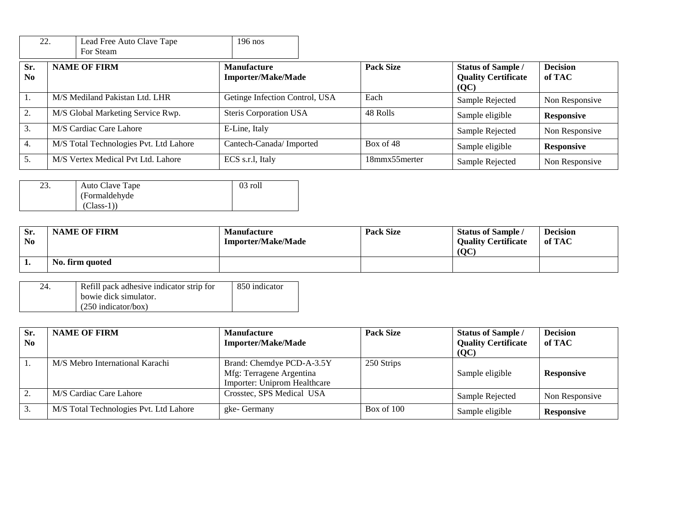| 22.<br>Lead Free Auto Clave Tape<br>For Steam |                                        | $196$ nos                                       |                  |                                                                 |                           |
|-----------------------------------------------|----------------------------------------|-------------------------------------------------|------------------|-----------------------------------------------------------------|---------------------------|
| Sr.<br>N <sub>0</sub>                         | <b>NAME OF FIRM</b>                    | <b>Manufacture</b><br><b>Importer/Make/Made</b> | <b>Pack Size</b> | <b>Status of Sample /</b><br><b>Quality Certificate</b><br>(QC) | <b>Decision</b><br>of TAC |
| 1.                                            | M/S Mediland Pakistan Ltd. LHR         | Getinge Infection Control, USA                  | Each             | Sample Rejected                                                 | Non Responsive            |
| 2.                                            | M/S Global Marketing Service Rwp.      | <b>Steris Corporation USA</b>                   | 48 Rolls         | Sample eligible                                                 | <b>Responsive</b>         |
| 3.                                            | M/S Cardiac Care Lahore                | E-Line, Italy                                   |                  | Sample Rejected                                                 | Non Responsive            |
| 4.                                            | M/S Total Technologies Pvt. Ltd Lahore | Cantech-Canada/Imported                         | Box of 48        | Sample eligible                                                 | <b>Responsive</b>         |
| 5.                                            | M/S Vertex Medical Pvt Ltd. Lahore     | ECS s.r.l, Italy                                | 18mmx55merter    | Sample Rejected                                                 | Non Responsive            |

| 23. | Auto Clave Tape | 03 roll |
|-----|-----------------|---------|
|     | (Formaldehyde)  |         |
|     | $(Class-1)$     |         |

| Sr.<br><b>No</b> | <b>NAME OF FIRM</b> | <b>Manufacture</b><br><b>Importer/Make/Made</b> | <b>Pack Size</b> | <b>Status of Sample /</b><br><b>Ouality Certificate</b><br>(OC) | <b>Decision</b><br>of TAC |
|------------------|---------------------|-------------------------------------------------|------------------|-----------------------------------------------------------------|---------------------------|
| . .              | No. firm quoted     |                                                 |                  |                                                                 |                           |

| 24. | Refill pack adhesive indicator strip for | 850 indicator |
|-----|------------------------------------------|---------------|
|     | bowie dick simulator.                    |               |
|     | $(250 \text{ indicator/box})$            |               |

| Sr.       | <b>NAME OF FIRM</b>                    | <b>Manufacture</b>           | <b>Pack Size</b> | <b>Status of Sample /</b>  | <b>Decision</b>   |
|-----------|----------------------------------------|------------------------------|------------------|----------------------------|-------------------|
| No        |                                        | <b>Importer/Make/Made</b>    |                  | <b>Quality Certificate</b> | of TAC            |
|           |                                        |                              |                  | (QC)                       |                   |
|           | M/S Mebro International Karachi        | Brand: Chemdye PCD-A-3.5Y    | 250 Strips       |                            |                   |
|           |                                        | Mfg: Terragene Argentina     |                  | Sample eligible            | <b>Responsive</b> |
|           |                                        | Importer: Uniprom Healthcare |                  |                            |                   |
| $\bigcap$ | M/S Cardiac Care Lahore                | Crosstec, SPS Medical USA    |                  | Sample Rejected            | Non Responsive    |
| 3.        | M/S Total Technologies Pvt. Ltd Lahore | gke- Germany                 | Box of $100$     | Sample eligible            | <b>Responsive</b> |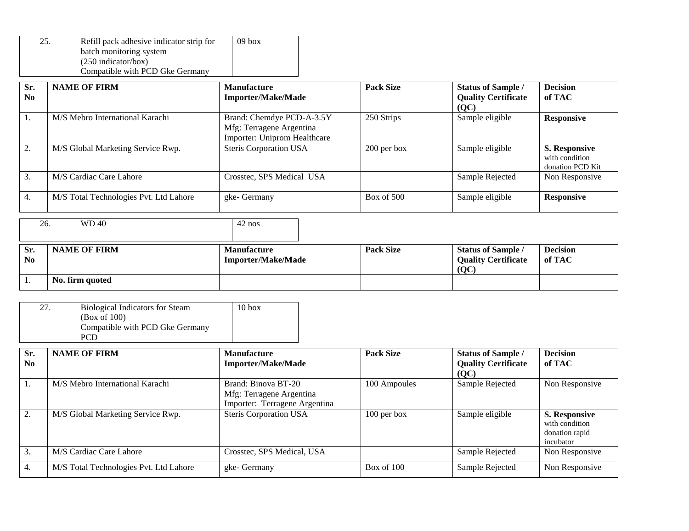| 25. | Refill pack adhesive indicator strip for | $09$ box |
|-----|------------------------------------------|----------|
|     | batch monitoring system                  |          |
|     | $(250 \text{ indicator/box})$            |          |
|     | Compatible with PCD Gke Germany          |          |

| Sr.<br>N <sub>0</sub> | <b>NAME OF FIRM</b>                    | <b>Manufacture</b><br><b>Importer/Make/Made</b>                                       | <b>Pack Size</b> | <b>Status of Sample /</b><br><b>Quality Certificate</b><br>(QC) | <b>Decision</b><br>of TAC                           |
|-----------------------|----------------------------------------|---------------------------------------------------------------------------------------|------------------|-----------------------------------------------------------------|-----------------------------------------------------|
| 1.                    | M/S Mebro International Karachi        | Brand: Chemdye PCD-A-3.5Y<br>Mfg: Terragene Argentina<br>Importer: Uniprom Healthcare | 250 Strips       | Sample eligible                                                 | <b>Responsive</b>                                   |
| 2.                    | M/S Global Marketing Service Rwp.      | <b>Steris Corporation USA</b>                                                         | 200 per box      | Sample eligible                                                 | S. Responsive<br>with condition<br>donation PCD Kit |
| 3.                    | M/S Cardiac Care Lahore                | Crosstec, SPS Medical USA                                                             |                  | Sample Rejected                                                 | Non Responsive                                      |
| 4.                    | M/S Total Technologies Pvt. Ltd Lahore | gke-Germany                                                                           | Box of $500$     | Sample eligible                                                 | <b>Responsive</b>                                   |

| 26.                   | WD 40               | $42$ nos                                        |                  |                                                                 |                           |
|-----------------------|---------------------|-------------------------------------------------|------------------|-----------------------------------------------------------------|---------------------------|
| Sr.<br>N <sub>0</sub> | <b>NAME OF FIRM</b> | <b>Manufacture</b><br><b>Importer/Make/Made</b> | <b>Pack Size</b> | <b>Status of Sample /</b><br><b>Quality Certificate</b><br>(QC) | <b>Decision</b><br>of TAC |
|                       | No. firm quoted     |                                                 |                  |                                                                 |                           |

| $\sim$<br>$\sim\,$ . | Biological Indicators for Steam<br>(Box of 100)<br>Compatible with PCD Gke Germany | $10 \text{ box}$ |
|----------------------|------------------------------------------------------------------------------------|------------------|
|                      | <b>PCD</b>                                                                         |                  |

| Sr.            | <b>NAME OF FIRM</b>                    | <b>Manufacture</b>            | <b>Pack Size</b> | <b>Status of Sample /</b>  | <b>Decision</b>                                                |
|----------------|----------------------------------------|-------------------------------|------------------|----------------------------|----------------------------------------------------------------|
| N <sub>0</sub> |                                        | <b>Importer/Make/Made</b>     |                  | <b>Quality Certificate</b> | of TAC                                                         |
|                |                                        |                               |                  | (QC)                       |                                                                |
|                | M/S Mebro International Karachi        | Brand: Binova BT-20           | 100 Ampoules     | Sample Rejected            | Non Responsive                                                 |
|                |                                        | Mfg: Terragene Argentina      |                  |                            |                                                                |
|                |                                        | Importer: Terragene Argentina |                  |                            |                                                                |
| 2.             | M/S Global Marketing Service Rwp.      | <b>Steris Corporation USA</b> | $100$ per box    | Sample eligible            | S. Responsive<br>with condition<br>donation rapid<br>incubator |
| 3.             | M/S Cardiac Care Lahore                | Crosstec, SPS Medical, USA    |                  | Sample Rejected            | Non Responsive                                                 |
| 4.             | M/S Total Technologies Pvt. Ltd Lahore | gke-Germany                   | Box of $100$     | Sample Rejected            | Non Responsive                                                 |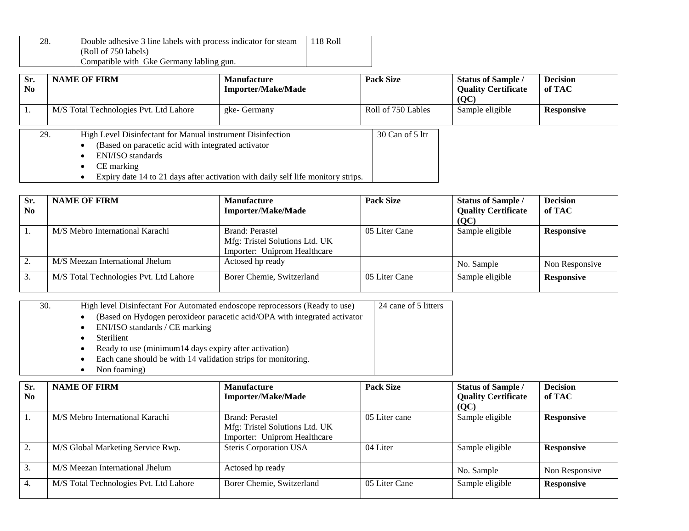| 28. | Double adhesive 3 line labels with process indicator for steam | 118 Roll |
|-----|----------------------------------------------------------------|----------|
|     | (Roll of 750 labels)                                           |          |
|     | Compatible with Gke Germany labling gun.                       |          |

| Sr.<br>N <sub>0</sub> |                                        | <b>NAME OF FIRM</b>                                                                                                                                  | <b>Manufacture</b><br><b>Importer/Make/Made</b> | <b>Pack Size</b>   | <b>Status of Sample /</b><br><b>Quality Certificate</b><br>(QC) | <b>Decision</b><br>of TAC |
|-----------------------|----------------------------------------|------------------------------------------------------------------------------------------------------------------------------------------------------|-------------------------------------------------|--------------------|-----------------------------------------------------------------|---------------------------|
|                       | M/S Total Technologies Pvt. Ltd Lahore |                                                                                                                                                      | gke-Germany                                     | Roll of 750 Lables | Sample eligible                                                 | <b>Responsive</b>         |
| 29.                   |                                        | High Level Disinfectant for Manual instrument Disinfection<br>(Based on paracetic acid with integrated activator)<br>ENI/ISO standards<br>CE marking |                                                 | 30 Can of 5 ltr    |                                                                 |                           |

• Expiry date 14 to 21 days after activation with daily self life monitory strips.

| Sr.      | <b>NAME OF FIRM</b>                    | <b>Manufacture</b>             | <b>Pack Size</b> | <b>Status of Sample /</b>  | <b>Decision</b>   |
|----------|----------------------------------------|--------------------------------|------------------|----------------------------|-------------------|
| $\bf No$ |                                        | <b>Importer/Make/Made</b>      |                  | <b>Quality Certificate</b> | of TAC            |
|          |                                        |                                |                  | (OC)                       |                   |
|          | M/S Mebro International Karachi        | <b>Brand: Perastel</b>         | 05 Liter Cane    | Sample eligible            | <b>Responsive</b> |
|          |                                        | Mfg: Tristel Solutions Ltd. UK |                  |                            |                   |
|          |                                        | Importer: Uniprom Healthcare   |                  |                            |                   |
|          | M/S Meezan International Jhelum        | Actosed hp ready               |                  | No. Sample                 | Non Responsive    |
|          | M/S Total Technologies Pvt. Ltd Lahore | Borer Chemie, Switzerland      | 05 Liter Cane    | Sample eligible            | <b>Responsive</b> |
|          |                                        |                                |                  |                            |                   |

| 30. | High level Disinfectant For Automated endoscope reprocessors (Ready to use) | 24 cane of 5 litters |
|-----|-----------------------------------------------------------------------------|----------------------|
|     | (Based on Hydogen peroxideor paracetic acid/OPA with integrated activator   |                      |
|     | ENI/ISO standards / CE marking                                              |                      |
|     | <b>Sterilient</b>                                                           |                      |
|     | Ready to use (minimum14 days expiry after activation)                       |                      |
|     | Each cane should be with 14 validation strips for monitoring.               |                      |
|     | Non foaming)                                                                |                      |

| Sr.            | <b>NAME OF FIRM</b>                    | <b>Manufacture</b>             | <b>Pack Size</b> | <b>Status of Sample /</b>  | <b>Decision</b>   |
|----------------|----------------------------------------|--------------------------------|------------------|----------------------------|-------------------|
| N <sub>0</sub> |                                        | <b>Importer/Make/Made</b>      |                  | <b>Quality Certificate</b> | of TAC            |
|                |                                        |                                |                  | (QC)                       |                   |
|                | M/S Mebro International Karachi        | Brand: Perastel                | 05 Liter cane    | Sample eligible            | <b>Responsive</b> |
|                |                                        | Mfg: Tristel Solutions Ltd. UK |                  |                            |                   |
|                |                                        | Importer: Uniprom Healthcare   |                  |                            |                   |
|                | M/S Global Marketing Service Rwp.      | <b>Steris Corporation USA</b>  | 04 Liter         | Sample eligible            | <b>Responsive</b> |
|                |                                        |                                |                  |                            |                   |
| 3.             | M/S Meezan International Jhelum        | Actosed hp ready               |                  | No. Sample                 | Non Responsive    |
|                |                                        |                                |                  |                            |                   |
| 4.             | M/S Total Technologies Pvt. Ltd Lahore | Borer Chemie, Switzerland      | 05 Liter Cane    | Sample eligible            | <b>Responsive</b> |
|                |                                        |                                |                  |                            |                   |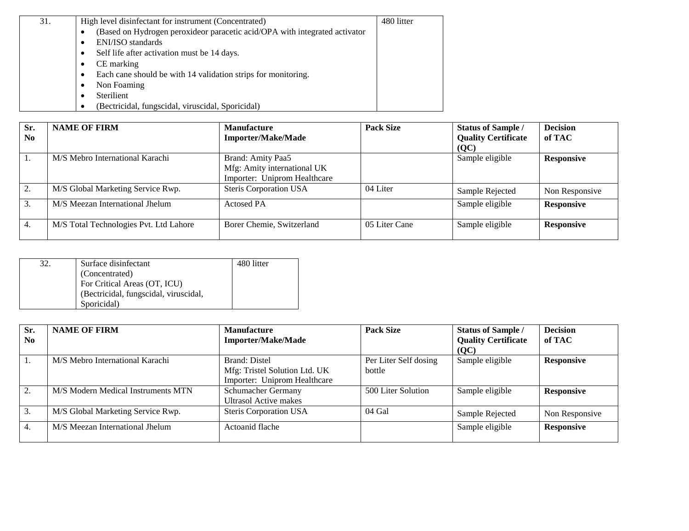| 31. |   | High level disinfectant for instrument (Concentrated)                      | 480 litter |
|-----|---|----------------------------------------------------------------------------|------------|
|     |   | (Based on Hydrogen peroxideor paracetic acid/OPA with integrated activator |            |
|     | ٠ | ENI/ISO standards                                                          |            |
|     | ٠ | Self life after activation must be 14 days.                                |            |
|     |   | CE marking                                                                 |            |
|     |   | Each cane should be with 14 validation strips for monitoring.              |            |
|     |   | Non Foaming                                                                |            |
|     |   | Sterilient                                                                 |            |
|     |   | (Bectricidal, fungscidal, viruscidal, Sporicidal)                          |            |

| Sr.<br>$\bf N_0$ | <b>NAME OF FIRM</b>                    | <b>Manufacture</b><br><b>Importer/Make/Made</b>                                  | <b>Pack Size</b> | <b>Status of Sample /</b><br><b>Quality Certificate</b><br>(QC) | <b>Decision</b><br>of TAC |
|------------------|----------------------------------------|----------------------------------------------------------------------------------|------------------|-----------------------------------------------------------------|---------------------------|
|                  | M/S Mebro International Karachi        | Brand: Amity Paa5<br>Mfg: Amity international UK<br>Importer: Uniprom Healthcare |                  | Sample eligible                                                 | <b>Responsive</b>         |
| $\gamma$         | M/S Global Marketing Service Rwp.      | <b>Steris Corporation USA</b>                                                    | 04 Liter         | Sample Rejected                                                 | Non Responsive            |
| 3.               | M/S Meezan International Jhelum        | <b>Actosed PA</b>                                                                |                  | Sample eligible                                                 | <b>Responsive</b>         |
|                  | M/S Total Technologies Pvt. Ltd Lahore | Borer Chemie, Switzerland                                                        | 05 Liter Cane    | Sample eligible                                                 | <b>Responsive</b>         |

| 32. | Surface disinfectant                  | 480 litter |
|-----|---------------------------------------|------------|
|     | (Concentrated)                        |            |
|     | For Critical Areas (OT, ICU)          |            |
|     | (Bectricidal, fungscidal, viruscidal, |            |
|     | Sporicidal)                           |            |

| Sr.            | <b>NAME OF FIRM</b>                | <b>Manufacture</b>            | <b>Pack Size</b>      | <b>Status of Sample /</b>  | <b>Decision</b>   |
|----------------|------------------------------------|-------------------------------|-----------------------|----------------------------|-------------------|
| N <sub>0</sub> |                                    | <b>Importer/Make/Made</b>     |                       | <b>Quality Certificate</b> | of TAC            |
|                |                                    |                               |                       | (QC)                       |                   |
|                | M/S Mebro International Karachi    | Brand: Distel                 | Per Liter Self dosing | Sample eligible            | <b>Responsive</b> |
|                |                                    | Mfg: Tristel Solution Ltd. UK | bottle                |                            |                   |
|                |                                    | Importer: Uniprom Healthcare  |                       |                            |                   |
| 2.             | M/S Modern Medical Instruments MTN | Schumacher Germany            | 500 Liter Solution    | Sample eligible            | <b>Responsive</b> |
|                |                                    | <b>Ultrasol Active makes</b>  |                       |                            |                   |
| 3.             | M/S Global Marketing Service Rwp.  | <b>Steris Corporation USA</b> | 04 Gal                | Sample Rejected            | Non Responsive    |
| 4.             | M/S Meezan International Jhelum    | Actoanid flache               |                       | Sample eligible            | <b>Responsive</b> |
|                |                                    |                               |                       |                            |                   |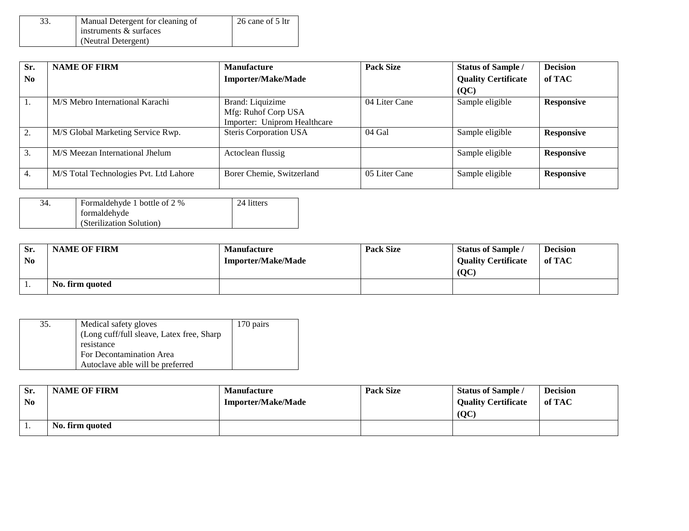| Manual Detergent for cleaning of | $\frac{1}{26}$ cane of 5 ltr |
|----------------------------------|------------------------------|
| instruments & surfaces           |                              |
| (Neutral Detergent)              |                              |

| Sr.      | <b>NAME OF FIRM</b>                    | <b>Manufacture</b>            | <b>Pack Size</b> | <b>Status of Sample /</b>  | <b>Decision</b>   |
|----------|----------------------------------------|-------------------------------|------------------|----------------------------|-------------------|
| $\bf No$ |                                        | <b>Importer/Make/Made</b>     |                  | <b>Quality Certificate</b> | of TAC            |
|          |                                        |                               |                  | (QC)                       |                   |
|          | M/S Mebro International Karachi        | Brand: Liquizime              | 04 Liter Cane    | Sample eligible            | <b>Responsive</b> |
|          |                                        | Mfg: Ruhof Corp USA           |                  |                            |                   |
|          |                                        | Importer: Uniprom Healthcare  |                  |                            |                   |
| 2.       | M/S Global Marketing Service Rwp.      | <b>Steris Corporation USA</b> | 04 Gal           | Sample eligible            | <b>Responsive</b> |
| 3.       | M/S Meezan International Jhelum        | Actoclean flussig             |                  | Sample eligible            | <b>Responsive</b> |
| 4.       | M/S Total Technologies Pvt. Ltd Lahore | Borer Chemie, Switzerland     | 05 Liter Cane    | Sample eligible            | <b>Responsive</b> |

| 34. | Formaldehyde 1 bottle of 2 % | 24 litters |
|-----|------------------------------|------------|
|     | formaldehyde                 |            |
|     | (Sterilization Solution)     |            |

| Sr.            | <b>NAME OF FIRM</b> | <b>Manufacture</b>        | <b>Pack Size</b> | <b>Status of Sample /</b>  | <b>Decision</b> |
|----------------|---------------------|---------------------------|------------------|----------------------------|-----------------|
| N <sub>0</sub> |                     | <b>Importer/Make/Made</b> |                  | <b>Quality Certificate</b> | of TAC          |
|                |                     |                           |                  | (OC)                       |                 |
| . .            | No. firm quoted     |                           |                  |                            |                 |

| 35. | Medical safety gloves                     | 170 pairs |
|-----|-------------------------------------------|-----------|
|     | (Long cuff/full sleave, Latex free, Sharp |           |
|     | resistance                                |           |
|     | For Decontamination Area                  |           |
|     | Autoclave able will be preferred          |           |

| Sr.            | <b>NAME OF FIRM</b> | <b>Manufacture</b>        | <b>Pack Size</b> | <b>Status of Sample /</b>  | <b>Decision</b> |
|----------------|---------------------|---------------------------|------------------|----------------------------|-----------------|
| N <sub>0</sub> |                     | <b>Importer/Make/Made</b> |                  | <b>Quality Certificate</b> | of TAC          |
|                |                     |                           |                  | (OC)                       |                 |
|                | No. firm quoted     |                           |                  |                            |                 |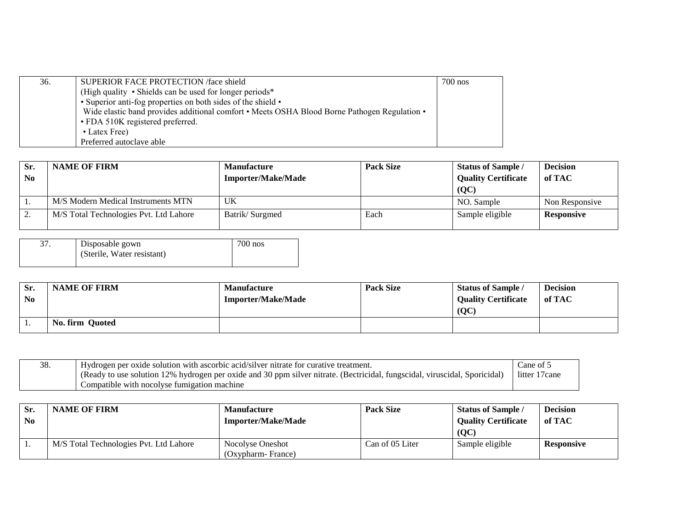| 36. | <b>SUPERIOR FACE PROTECTION /face shield</b>                                                 | 700 nos |
|-----|----------------------------------------------------------------------------------------------|---------|
|     | (High quality • Shields can be used for longer periods*                                      |         |
|     | • Superior anti-fog properties on both sides of the shield •                                 |         |
|     | Wide elastic band provides additional comfort • Meets OSHA Blood Borne Pathogen Regulation • |         |
|     | • FDA 510K registered preferred.                                                             |         |
|     | • Latex Free)                                                                                |         |
|     | Preferred autoclave able                                                                     |         |

| Sr.            | <b>NAME OF FIRM</b>                    | <b>Manufacture</b>        | <b>Pack Size</b> | <b>Status of Sample /</b>  | <b>Decision</b>   |
|----------------|----------------------------------------|---------------------------|------------------|----------------------------|-------------------|
| N <sub>0</sub> |                                        | <b>Importer/Make/Made</b> |                  | <b>Quality Certificate</b> | of TAC            |
|                |                                        |                           |                  | (QC)                       |                   |
|                | M/S Modern Medical Instruments MTN     | UK                        |                  | NO. Sample                 | Non Responsive    |
|                | M/S Total Technologies Pvt. Ltd Lahore | Batrik/Surgmed            | Each             | Sample eligible            | <b>Responsive</b> |

| 37. | Disposable gown<br>(Sterile, Water resistant) | $700$ nos |
|-----|-----------------------------------------------|-----------|
|     |                                               |           |

| Sr.            | <b>NAME OF FIRM</b> | <b>Manufacture</b>        | <b>Pack Size</b> | <b>Status of Sample /</b>  | <b>Decision</b> |
|----------------|---------------------|---------------------------|------------------|----------------------------|-----------------|
| N <sub>0</sub> |                     | <b>Importer/Make/Made</b> |                  | <b>Quality Certificate</b> | of TAC          |
|                |                     |                           |                  | (OC)                       |                 |
|                | No. firm Quoted     |                           |                  |                            |                 |

| 38. | Hydrogen per oxide solution with ascorbic acid/silver nitrate for curative treatment.                                          | cane of 5      |
|-----|--------------------------------------------------------------------------------------------------------------------------------|----------------|
|     | . Sporicidal<br>(Ready to use solution 12% hydrogen per oxide and 30 ppm silver nitrate. (Bectricidal, fungscidal, viruscidal, | litter<br>/can |
|     | Compatible with nocolyse fumigation machine                                                                                    |                |

| -Sr.<br>No | <b>NAME OF FIRM</b>                    | <b>Manufacture</b><br><b>Importer/Make/Made</b> | <b>Pack Size</b> | <b>Status of Sample /</b><br><b>Ouality Certificate</b><br>(OC) | <b>Decision</b><br>of TAC |
|------------|----------------------------------------|-------------------------------------------------|------------------|-----------------------------------------------------------------|---------------------------|
|            | M/S Total Technologies Pvt. Ltd Lahore | Nocolyse Oneshot<br>(Oxypharm-France)           | Can of 05 Liter  | Sample eligible                                                 | <b>Responsive</b>         |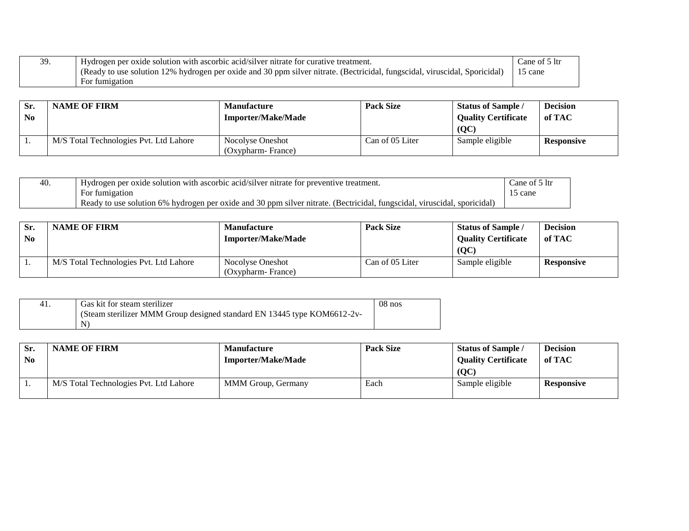| 39. | Hydrogen per oxide solution with ascorbic acid/silver nitrate for curative treatment.                                      | Cane of 5<br>∖ Ifr |
|-----|----------------------------------------------------------------------------------------------------------------------------|--------------------|
|     | (Ready to use solution 12% hydrogen per oxide and 30 ppm silver nitrate. (Bectricidal, fungscidal, viruscidal, Sporicidal) | 15 cane            |
|     | For fumigation                                                                                                             |                    |

| Sr.<br>N <sub>0</sub> | <b>NAME OF FIRM</b>                    | <b>Manufacture</b><br><b>Importer/Make/Made</b> | <b>Pack Size</b> | <b>Status of Sample /</b><br><b>Quality Certificate</b><br>(OC) | <b>Decision</b><br>of TAC |
|-----------------------|----------------------------------------|-------------------------------------------------|------------------|-----------------------------------------------------------------|---------------------------|
|                       | M/S Total Technologies Pvt. Ltd Lahore | Nocolyse Oneshot<br>(Oxypharm-France)           | Can of 05 Liter  | Sample eligible                                                 | <b>Responsive</b>         |

| 40. | Hydrogen per oxide solution with ascorbic acid/silver nitrate for preventive treatment.                                  | ane of 5 Itri |
|-----|--------------------------------------------------------------------------------------------------------------------------|---------------|
|     | For fumigation                                                                                                           | cane د        |
|     | Ready to use solution 6% hydrogen per oxide and 30 ppm silver nitrate. (Bectricidal, fungscidal, viruscidal, sporicidal) |               |

| Sr.       | <b>NAME OF FIRM</b>                    | <b>Manufacture</b>        | <b>Pack Size</b> | <b>Status of Sample /</b>  | <b>Decision</b>   |
|-----------|----------------------------------------|---------------------------|------------------|----------------------------|-------------------|
| $\bf N_0$ |                                        | <b>Importer/Make/Made</b> |                  | <b>Quality Certificate</b> | of TAC            |
|           |                                        |                           |                  | (OC)                       |                   |
|           | M/S Total Technologies Pvt. Ltd Lahore | Nocolyse Oneshot          | Can of 05 Liter  | Sample eligible            | <b>Responsive</b> |
|           |                                        | (Oxypharm-France)         |                  |                            |                   |

| Gas kit for steam sterilizer                                            | $08$ nos |
|-------------------------------------------------------------------------|----------|
| (Steam sterilizer MMM Group designed standard EN 13445 type KOM6612-2v- |          |
| N                                                                       |          |

| Sr.<br>N <sub>0</sub> | <b>NAME OF FIRM</b>                    | <b>Manufacture</b><br><b>Importer/Make/Made</b> | <b>Pack Size</b> | <b>Status of Sample /</b><br><b>Quality Certificate</b><br>(OC) | <b>Decision</b><br>of TAC |
|-----------------------|----------------------------------------|-------------------------------------------------|------------------|-----------------------------------------------------------------|---------------------------|
|                       | M/S Total Technologies Pvt. Ltd Lahore | MMM Group, Germany                              | Each             | Sample eligible                                                 | <b>Responsive</b>         |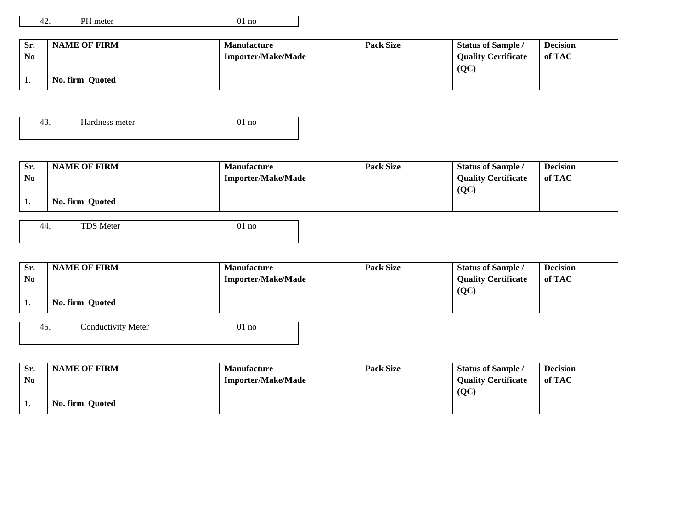| $\sqrt{2}$<br>т∠. | ---<br>meter<br> | no<br>-<br>- --- |
|-------------------|------------------|------------------|
|-------------------|------------------|------------------|

| Sr.            | <b>NAME OF FIRM</b> | Manufacture               | <b>Pack Size</b> | <b>Status of Sample /</b>  | <b>Decision</b> |
|----------------|---------------------|---------------------------|------------------|----------------------------|-----------------|
| N <sub>0</sub> |                     | <b>Importer/Make/Made</b> |                  | <b>Quality Certificate</b> | of TAC          |
|                |                     |                           |                  | (QC)                       |                 |
|                | No. firm Quoted     |                           |                  |                            |                 |

| $\sim$<br>т., | Hardness meter | no |
|---------------|----------------|----|
|               |                |    |

| Sr. | <b>NAME OF FIRM</b> | <b>Manufacture</b>        | <b>Pack Size</b> | <b>Status of Sample /</b>  | <b>Decision</b> |
|-----|---------------------|---------------------------|------------------|----------------------------|-----------------|
| No  |                     | <b>Importer/Make/Made</b> |                  | <b>Quality Certificate</b> | of TAC          |
|     |                     |                           |                  | (QC)                       |                 |
|     | No. firm Quoted     |                           |                  |                            |                 |

| 44. | TDS Meter | 01<br>no |
|-----|-----------|----------|
|     |           |          |

| Sr.            | <b>NAME OF FIRM</b> | <b>Manufacture</b>        | <b>Pack Size</b> | <b>Status of Sample /</b>  | <b>Decision</b> |
|----------------|---------------------|---------------------------|------------------|----------------------------|-----------------|
| N <sub>0</sub> |                     | <b>Importer/Make/Made</b> |                  | <b>Quality Certificate</b> | of TAC          |
|                |                     |                           |                  | (QC)                       |                 |
|                | No. firm Quoted     |                           |                  |                            |                 |

| 45. | <b>Conductivity Meter</b> | $01$ no |
|-----|---------------------------|---------|
|     |                           |         |

| Sr.            | <b>NAME OF FIRM</b> | <b>Manufacture</b>        | <b>Pack Size</b> | <b>Status of Sample /</b>  | <b>Decision</b> |
|----------------|---------------------|---------------------------|------------------|----------------------------|-----------------|
| N <sub>0</sub> |                     | <b>Importer/Make/Made</b> |                  | <b>Quality Certificate</b> | of TAC          |
|                |                     |                           |                  | [OC]                       |                 |
|                | No. firm Quoted     |                           |                  |                            |                 |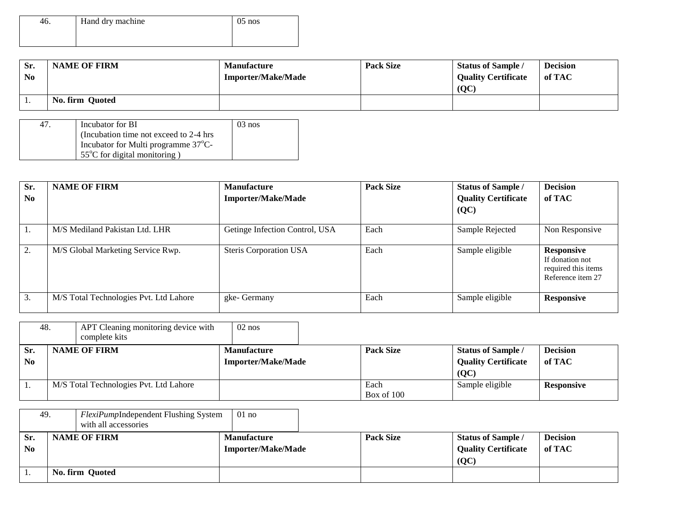| 46. | Hand dry machine | $05$ nos |
|-----|------------------|----------|
|     |                  |          |

| Sr.            | <b>NAME OF FIRM</b> | <b>Manufacture</b>        | <b>Pack Size</b> | <b>Status of Sample /</b>  | <b>Decision</b> |
|----------------|---------------------|---------------------------|------------------|----------------------------|-----------------|
| N <sub>0</sub> |                     | <b>Importer/Make/Made</b> |                  | <b>Quality Certificate</b> | of TAC          |
|                |                     |                           |                  | (OC)                       |                 |
|                | No. firm Quoted     |                           |                  |                            |                 |

| 47. | Incubator for BI                                 | $03$ nos |
|-----|--------------------------------------------------|----------|
|     | (Incubation time not exceed to 2-4 hrs)          |          |
|     | Incubator for Multi programme 37 <sup>o</sup> C- |          |
|     | $55^{\circ}$ C for digital monitoring)           |          |

| Sr.<br>N <sub>0</sub> | <b>NAME OF FIRM</b>                    | <b>Manufacture</b><br><b>Importer/Make/Made</b> | <b>Pack Size</b> | <b>Status of Sample /</b><br><b>Quality Certificate</b><br>(QC) | <b>Decision</b><br>of TAC                                                        |
|-----------------------|----------------------------------------|-------------------------------------------------|------------------|-----------------------------------------------------------------|----------------------------------------------------------------------------------|
|                       | M/S Mediland Pakistan Ltd. LHR         | Getinge Infection Control, USA                  | Each             | Sample Rejected                                                 | Non Responsive                                                                   |
| 2.                    | M/S Global Marketing Service Rwp.      | Steris Corporation USA                          | Each             | Sample eligible                                                 | <b>Responsive</b><br>If donation not<br>required this items<br>Reference item 27 |
| 3.                    | M/S Total Technologies Pvt. Ltd Lahore | gke-Germany                                     | Each             | Sample eligible                                                 | <b>Responsive</b>                                                                |

| 48.                   | APT Cleaning monitoring device with<br>complete kits | $02$ nos                                        |                  |                                                         |                           |
|-----------------------|------------------------------------------------------|-------------------------------------------------|------------------|---------------------------------------------------------|---------------------------|
| Sr.<br>N <sub>0</sub> | <b>NAME OF FIRM</b>                                  | <b>Manufacture</b><br><b>Importer/Make/Made</b> | <b>Pack Size</b> | <b>Status of Sample /</b><br><b>Quality Certificate</b> | <b>Decision</b><br>of TAC |
|                       |                                                      |                                                 |                  | (QC)                                                    |                           |
|                       | M/S Total Technologies Pvt. Ltd Lahore               |                                                 | Each             | Sample eligible                                         | <b>Responsive</b>         |
|                       |                                                      |                                                 | Box of $100$     |                                                         |                           |

| 49.             | <i>FlexiPumpIndependent Flushing System</i><br>with all accessories | $01$ no                                         |                  |                                                                 |                           |
|-----------------|---------------------------------------------------------------------|-------------------------------------------------|------------------|-----------------------------------------------------------------|---------------------------|
| Sr.<br>$\bf No$ | <b>NAME OF FIRM</b>                                                 | <b>Manufacture</b><br><b>Importer/Make/Made</b> | <b>Pack Size</b> | <b>Status of Sample /</b><br><b>Quality Certificate</b><br>(QC) | <b>Decision</b><br>of TAC |
|                 | No. firm Quoted                                                     |                                                 |                  |                                                                 |                           |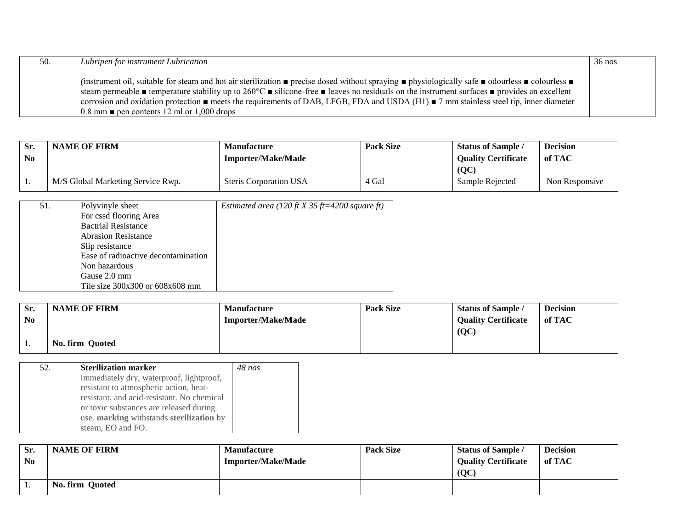| 50. | Lubripen for instrument Lubrication                                                                                                                                                                                                                                                                                                                                                                                                                                                                                                                                                                                                      | $36$ nos |
|-----|------------------------------------------------------------------------------------------------------------------------------------------------------------------------------------------------------------------------------------------------------------------------------------------------------------------------------------------------------------------------------------------------------------------------------------------------------------------------------------------------------------------------------------------------------------------------------------------------------------------------------------------|----------|
|     | (instrument oil, suitable for steam and hot air sterilization $\blacksquare$ precise dosed without spraying $\blacksquare$ physiologically safe $\blacksquare$ odourless $\blacksquare$ colourless $\blacksquare$<br>steam permeable <b>E</b> temperature stability up to $260^{\circ}$ C <b>E</b> silicone-free <b>E</b> leaves no residuals on the instrument surfaces <b>E</b> provides an excellent<br>corrosion and oxidation protection $\blacksquare$ meets the requirements of DAB, LFGB, FDA and USDA (H1) $\blacksquare$ 7 mm stainless steel tip, inner diameter<br>$0.8$ mm $\blacksquare$ pen contents 12 ml or 1,000 drops |          |

| Sr.            | <b>NAME OF FIRM</b>               | <b>Manufacture</b>        | <b>Pack Size</b> | <b>Status of Sample /</b>  | <b>Decision</b> |
|----------------|-----------------------------------|---------------------------|------------------|----------------------------|-----------------|
| N <sub>0</sub> |                                   | <b>Importer/Make/Made</b> |                  | <b>Quality Certificate</b> | of TAC          |
|                |                                   |                           |                  | (QC)                       |                 |
|                | M/S Global Marketing Service Rwp. | Steris Corporation USA    | 4 Gal            | Sample Rejected            | Non Responsive  |

| 51. | Polyvinyle sheet                    | Estimated area (120 ft X 35 ft=4200 square ft) |
|-----|-------------------------------------|------------------------------------------------|
|     | For cssd flooring Area              |                                                |
|     | <b>Bactrial Resistance</b>          |                                                |
|     | <b>Abrasion Resistance</b>          |                                                |
|     | Slip resistance                     |                                                |
|     | Ease of radioactive decontamination |                                                |
|     | Non hazardous                       |                                                |
|     | Gause 2.0 mm                        |                                                |
|     | Tile size $300x300$ or $608x608$ mm |                                                |

| Sr.<br>N <sub>0</sub> | <b>NAME OF FIRM</b> | <b>Manufacture</b><br><b>Importer/Make/Made</b> | <b>Pack Size</b> | <b>Status of Sample /</b><br><b>Quality Certificate</b><br>$\overline{Q}C$ | <b>Decision</b><br>of TAC |
|-----------------------|---------------------|-------------------------------------------------|------------------|----------------------------------------------------------------------------|---------------------------|
|                       | No. firm Quoted     |                                                 |                  |                                                                            |                           |

| 52. | <b>Sterilization marker</b>                | $48$ nos |
|-----|--------------------------------------------|----------|
|     | immediately dry, waterproof, lightproof,   |          |
|     | resistant to atmospheric action, heat-     |          |
|     | resistant, and acid-resistant. No chemical |          |
|     | or toxic substances are released during    |          |
|     | use. marking withstands sterilization by   |          |
|     | steam, EO and FO.                          |          |

| Sr.            | <b>NAME OF FIRM</b> | <b>Manufacture</b>        | <b>Pack Size</b> | <b>Status of Sample /</b>  | <b>Decision</b> |
|----------------|---------------------|---------------------------|------------------|----------------------------|-----------------|
| N <sub>0</sub> |                     | <b>Importer/Make/Made</b> |                  | <b>Quality Certificate</b> | of TAC          |
|                |                     |                           |                  | (OC)                       |                 |
|                | No. firm Quoted     |                           |                  |                            |                 |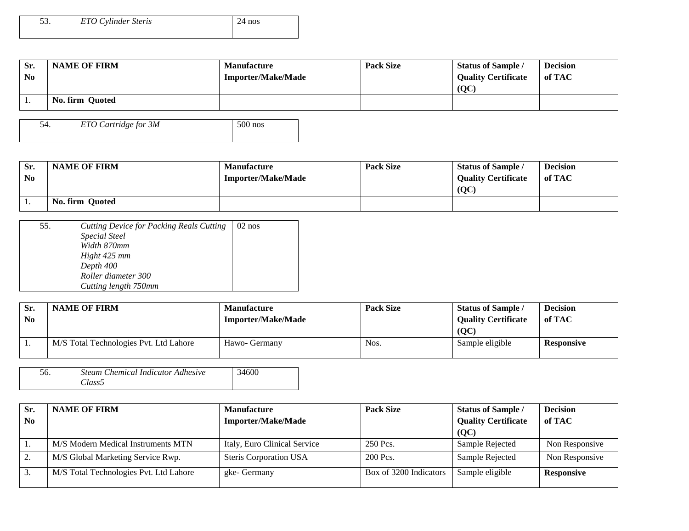| 52<br>JJ. | ETO Cylinder Steris | $24$ nos |
|-----------|---------------------|----------|
|           |                     |          |

| Sr.<br>N <sub>0</sub> | <b>NAME OF FIRM</b> | <b>Manufacture</b><br><b>Importer/Make/Made</b> | <b>Pack Size</b> | <b>Status of Sample /</b><br><b>Quality Certificate</b><br>(OC) | <b>Decision</b><br>of TAC |
|-----------------------|---------------------|-------------------------------------------------|------------------|-----------------------------------------------------------------|---------------------------|
|                       | No. firm Quoted     |                                                 |                  |                                                                 |                           |

| 54. | ETO Cartridge for 3M | $500$ nos |
|-----|----------------------|-----------|
|     |                      |           |

| Sr.            | <b>NAME OF FIRM</b> | <b>Manufacture</b>        | <b>Pack Size</b> | <b>Status of Sample /</b>  | <b>Decision</b> |
|----------------|---------------------|---------------------------|------------------|----------------------------|-----------------|
| N <sub>0</sub> |                     | <b>Importer/Make/Made</b> |                  | <b>Quality Certificate</b> | of TAC          |
|                |                     |                           |                  | (OC)                       |                 |
|                | No. firm Quoted     |                           |                  |                            |                 |

| 55. | Cutting Device for Packing Reals Cutting | $02$ nos |
|-----|------------------------------------------|----------|
|     | <b>Special Steel</b>                     |          |
|     | Width 870mm                              |          |
|     | Hight 425 mm                             |          |
|     | Depth 400                                |          |
|     | Roller diameter 300                      |          |
|     | Cutting length 750mm                     |          |

| Sr.            | <b>NAME OF FIRM</b>                    | <b>Manufacture</b>        | <b>Pack Size</b> | <b>Status of Sample /</b>  | <b>Decision</b>   |
|----------------|----------------------------------------|---------------------------|------------------|----------------------------|-------------------|
| N <sub>0</sub> |                                        | <b>Importer/Make/Made</b> |                  | <b>Quality Certificate</b> | of TAC            |
|                |                                        |                           |                  | (OC)                       |                   |
|                | M/S Total Technologies Pvt. Ltd Lahore | Hawo- Germany             | Nos.             | Sample eligible            | <b>Responsive</b> |
|                |                                        |                           |                  |                            |                   |

| 56. | Steam Chemical Indicator Adhesive | 34600 |
|-----|-----------------------------------|-------|
|     | Class <sub>5</sub>                |       |

| Sr.       | <b>NAME OF FIRM</b>                    | <b>Manufacture</b>            | <b>Pack Size</b>       | <b>Status of Sample /</b>  | <b>Decision</b>   |
|-----------|----------------------------------------|-------------------------------|------------------------|----------------------------|-------------------|
| $\bf N_0$ |                                        | <b>Importer/Make/Made</b>     |                        | <b>Quality Certificate</b> | of TAC            |
|           |                                        |                               |                        | (QC)                       |                   |
|           | M/S Modern Medical Instruments MTN     | Italy, Euro Clinical Service  | 250 Pcs.               | Sample Rejected            | Non Responsive    |
|           | M/S Global Marketing Service Rwp.      | <b>Steris Corporation USA</b> | 200 Pcs.               | Sample Rejected            | Non Responsive    |
|           | M/S Total Technologies Pvt. Ltd Lahore | gke- Germany                  | Box of 3200 Indicators | Sample eligible            | <b>Responsive</b> |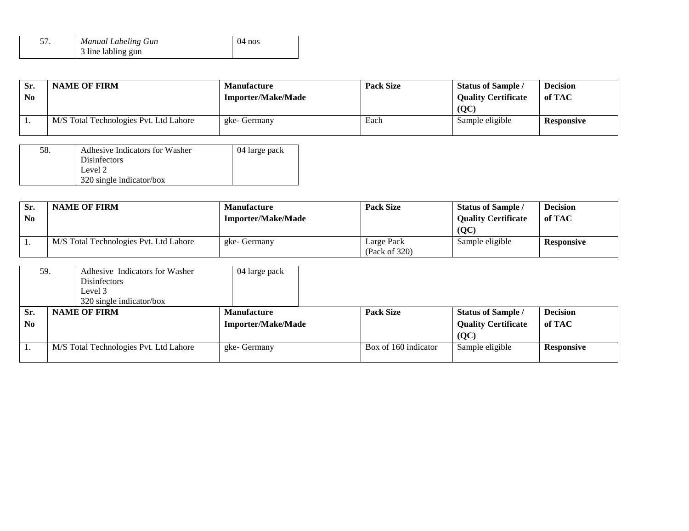| 57<br>. ا ر | Manual Labeling Gun | $04$ nos |
|-------------|---------------------|----------|
|             | 3 line labling gun  |          |

| Sr.            | <b>NAME OF FIRM</b>                    | <b>Manufacture</b>        | <b>Pack Size</b> | <b>Status of Sample /</b>  | <b>Decision</b>   |
|----------------|----------------------------------------|---------------------------|------------------|----------------------------|-------------------|
| $\mathbf{N_0}$ |                                        | <b>Importer/Make/Made</b> |                  | <b>Ouality Certificate</b> | of TAC            |
|                |                                        |                           |                  | (OC)                       |                   |
|                | M/S Total Technologies Pvt. Ltd Lahore | gke- Germany              | Each             | Sample eligible            | <b>Responsive</b> |
|                |                                        |                           |                  |                            |                   |

| 58. | Adhesive Indicators for Washer | 04 large pack |
|-----|--------------------------------|---------------|
|     | Disinfectors                   |               |
|     | Level 2                        |               |
|     | 320 single indicator/box       |               |

| Sr.                    | <b>NAME OF FIRM</b>                    | <b>Manufacture</b>        | <b>Pack Size</b> | <b>Status of Sample /</b>  | <b>Decision</b>   |
|------------------------|----------------------------------------|---------------------------|------------------|----------------------------|-------------------|
| $\mathbf{N}\mathbf{0}$ |                                        | <b>Importer/Make/Made</b> |                  | <b>Quality Certificate</b> | of TAC            |
|                        |                                        |                           |                  | (OC)                       |                   |
|                        | M/S Total Technologies Pvt. Ltd Lahore | gke- Germany              | Large Pack       | Sample eligible            | <b>Responsive</b> |
|                        |                                        |                           | (Pack of 320)    |                            |                   |

| 59.            | Adhesive Indicators for Washer         | 04 large pack             |                      |                            |                   |
|----------------|----------------------------------------|---------------------------|----------------------|----------------------------|-------------------|
|                | <b>Disinfectors</b>                    |                           |                      |                            |                   |
|                | Level 3                                |                           |                      |                            |                   |
|                | 320 single indicator/box               |                           |                      |                            |                   |
| Sr.            | <b>NAME OF FIRM</b>                    | <b>Manufacture</b>        | <b>Pack Size</b>     | <b>Status of Sample /</b>  | <b>Decision</b>   |
| N <sub>0</sub> |                                        | <b>Importer/Make/Made</b> |                      | <b>Quality Certificate</b> | of TAC            |
|                |                                        |                           |                      | (QC)                       |                   |
|                | M/S Total Technologies Pvt. Ltd Lahore | gke- Germany              | Box of 160 indicator | Sample eligible            | <b>Responsive</b> |
|                |                                        |                           |                      |                            |                   |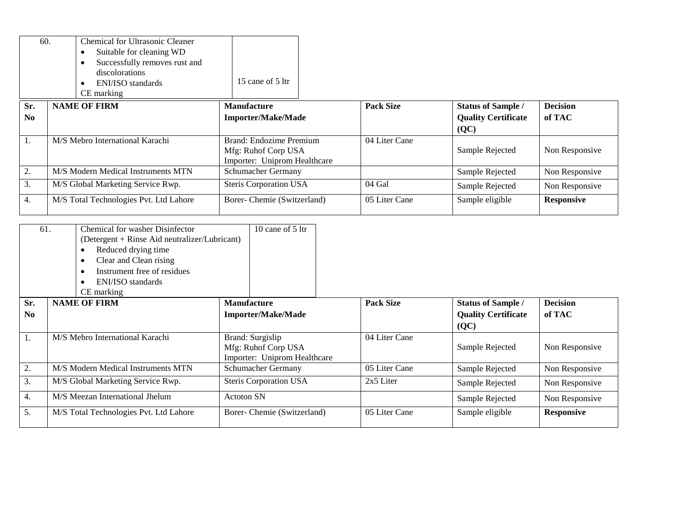| 60.      | Chemical for Ultrasonic Cleaner                                                    |                               |                  |                            |                   |
|----------|------------------------------------------------------------------------------------|-------------------------------|------------------|----------------------------|-------------------|
|          | Suitable for cleaning WD                                                           |                               |                  |                            |                   |
|          | Successfully removes rust and<br>discolorations<br>ENI/ISO standards<br>CE marking | 15 cane of 5 ltr              |                  |                            |                   |
| Sr.      | <b>NAME OF FIRM</b>                                                                | <b>Manufacture</b>            | <b>Pack Size</b> | <b>Status of Sample /</b>  | <b>Decision</b>   |
| $\bf No$ |                                                                                    | <b>Importer/Make/Made</b>     |                  | <b>Quality Certificate</b> | of TAC            |
|          |                                                                                    |                               |                  | (QC)                       |                   |
|          | M/S Mebro International Karachi                                                    | Brand: Endozime Premium       | 04 Liter Cane    |                            |                   |
|          |                                                                                    | Mfg: Ruhof Corp USA           |                  | Sample Rejected            | Non Responsive    |
|          |                                                                                    | Importer: Uniprom Healthcare  |                  |                            |                   |
| 2.       | M/S Modern Medical Instruments MTN                                                 | Schumacher Germany            |                  | Sample Rejected            | Non Responsive    |
| 3.       | M/S Global Marketing Service Rwp.                                                  | <b>Steris Corporation USA</b> | $04$ Gal         | Sample Rejected            | Non Responsive    |
| 4.       | M/S Total Technologies Pvt. Ltd Lahore                                             | Borer- Chemie (Switzerland)   | 05 Liter Cane    | Sample eligible            | <b>Responsive</b> |

| 61.            | Chemical for washer Disinfector<br>(Detergent + Rinse Aid neutralizer/Lubricant)<br>Reduced drying time<br>Clear and Clean rising<br>Instrument free of residues<br>ENI/ISO standards<br>CE marking | 10 cane of 5 ltr                                                        |                  |                                    |                   |
|----------------|-----------------------------------------------------------------------------------------------------------------------------------------------------------------------------------------------------|-------------------------------------------------------------------------|------------------|------------------------------------|-------------------|
| Sr.            | <b>NAME OF FIRM</b>                                                                                                                                                                                 | <b>Manufacture</b>                                                      | <b>Pack Size</b> | <b>Status of Sample /</b>          | <b>Decision</b>   |
| N <sub>0</sub> |                                                                                                                                                                                                     | <b>Importer/Make/Made</b>                                               |                  | <b>Quality Certificate</b><br>(QC) | of TAC            |
| 1.             | M/S Mebro International Karachi                                                                                                                                                                     | Brand: Surgislip<br>Mfg: Ruhof Corp USA<br>Importer: Uniprom Healthcare | 04 Liter Cane    | Sample Rejected                    | Non Responsive    |
| 2.             | M/S Modern Medical Instruments MTN                                                                                                                                                                  | Schumacher Germany                                                      | 05 Liter Cane    | Sample Rejected                    | Non Responsive    |
| 3.             | M/S Global Marketing Service Rwp.                                                                                                                                                                   | <b>Steris Corporation USA</b>                                           | 2x5 Liter        | Sample Rejected                    | Non Responsive    |
| 4.             | M/S Meezan International Jhelum                                                                                                                                                                     | <b>Actoron SN</b>                                                       |                  | Sample Rejected                    | Non Responsive    |
| 5.             | M/S Total Technologies Pvt. Ltd Lahore                                                                                                                                                              | Borer- Chemie (Switzerland)                                             | 05 Liter Cane    | Sample eligible                    | <b>Responsive</b> |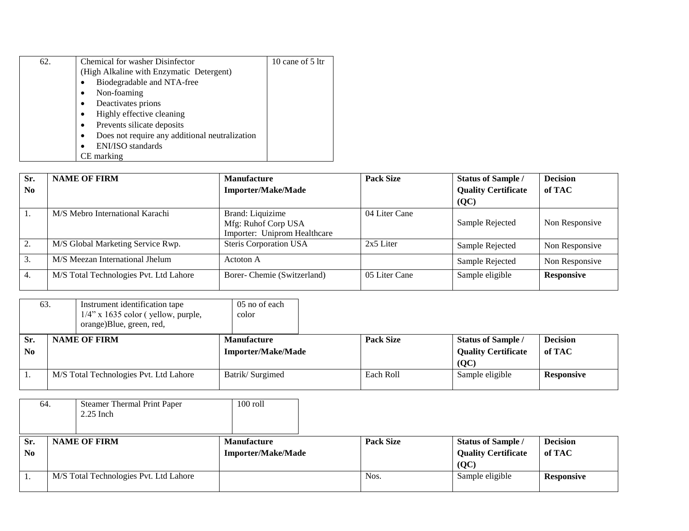| 62. | Chemical for washer Disinfector                     | 10 cane of 5 ltr |
|-----|-----------------------------------------------------|------------------|
|     | (High Alkaline with Enzymatic Detergent)            |                  |
|     | Biodegradable and NTA-free                          |                  |
|     | Non-foaming                                         |                  |
|     | Deactivates prions                                  |                  |
|     | Highly effective cleaning<br>$\bullet$              |                  |
|     | Prevents silicate deposits<br>٠                     |                  |
|     | Does not require any additional neutralization<br>٠ |                  |
|     | <b>ENI/ISO</b> standards<br>$\bullet$               |                  |
|     | CE marking                                          |                  |

| Sr.      | <b>NAME OF FIRM</b>                    | <b>Manufacture</b>                                                      | <b>Pack Size</b> | <b>Status of Sample /</b>  | <b>Decision</b>   |
|----------|----------------------------------------|-------------------------------------------------------------------------|------------------|----------------------------|-------------------|
| $\bf No$ |                                        | <b>Importer/Make/Made</b>                                               |                  | <b>Quality Certificate</b> | of TAC            |
|          |                                        |                                                                         |                  | (QC)                       |                   |
|          | M/S Mebro International Karachi        | Brand: Liquizime<br>Mfg: Ruhof Corp USA<br>Importer: Uniprom Healthcare | 04 Liter Cane    | Sample Rejected            | Non Responsive    |
| 2.       | M/S Global Marketing Service Rwp.      | <b>Steris Corporation USA</b>                                           | $2x5$ Liter      | Sample Rejected            | Non Responsive    |
| 3.       | M/S Meezan International Jhelum        | Actoron A                                                               |                  | Sample Rejected            | Non Responsive    |
| 4.       | M/S Total Technologies Pvt. Ltd Lahore | Borer- Chemie (Switzerland)                                             | 05 Liter Cane    | Sample eligible            | <b>Responsive</b> |

| 63. | Instrument identification tape<br>$1/4$ " x 1635 color (yellow, purple,<br>orange)Blue, green, red, | 05 no of each<br>color    |                  |                                    |                   |
|-----|-----------------------------------------------------------------------------------------------------|---------------------------|------------------|------------------------------------|-------------------|
| Sr. | <b>NAME OF FIRM</b>                                                                                 | <b>Manufacture</b>        | <b>Pack Size</b> | <b>Status of Sample /</b>          | <b>Decision</b>   |
| No. |                                                                                                     | <b>Importer/Make/Made</b> |                  | <b>Quality Certificate</b><br>(QC) | of TAC            |
|     |                                                                                                     |                           |                  |                                    |                   |
|     | M/S Total Technologies Pvt. Ltd Lahore                                                              | Batrik/Surgimed           | Each Roll        | Sample eligible                    | <b>Responsive</b> |

| 64.             | <b>Steamer Thermal Print Paper</b><br>$2.25$ Inch | 100 roll                                        |                  |                                                                 |                           |
|-----------------|---------------------------------------------------|-------------------------------------------------|------------------|-----------------------------------------------------------------|---------------------------|
| Sr.<br>$\bf No$ | <b>NAME OF FIRM</b>                               | <b>Manufacture</b><br><b>Importer/Make/Made</b> | <b>Pack Size</b> | <b>Status of Sample /</b><br><b>Quality Certificate</b><br>(QC) | <b>Decision</b><br>of TAC |
|                 | M/S Total Technologies Pvt. Ltd Lahore            |                                                 | Nos.             | Sample eligible                                                 | <b>Responsive</b>         |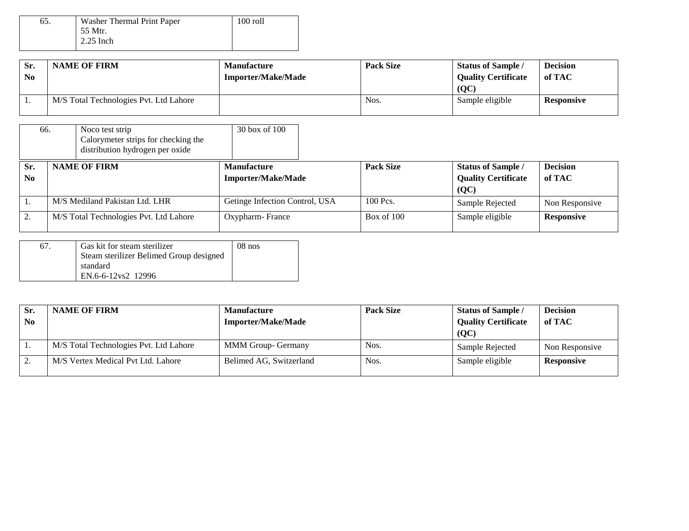| 65. | Washer Thermal Print Paper | $100$ roll |
|-----|----------------------------|------------|
|     | 55 Mtr.                    |            |
|     | $2.25$ Inch                |            |

| Sr.<br>No. | <b>NAME OF FIRM</b>                    | <b>Manufacture</b><br><b>Importer/Make/Made</b> | <b>Pack Size</b> | <b>Status of Sample /</b><br><b>Quality Certificate</b><br>(OC) | <b>Decision</b><br>of TAC |
|------------|----------------------------------------|-------------------------------------------------|------------------|-----------------------------------------------------------------|---------------------------|
|            | M/S Total Technologies Pvt. Ltd Lahore |                                                 | Nos.             | Sample eligible                                                 | <b>Responsive</b>         |

| 66.                   | Noco test strip<br>Calorymeter strips for checking the<br>distribution hydrogen per oxide | 30 box of 100                                   |                  |                                                                 |                           |
|-----------------------|-------------------------------------------------------------------------------------------|-------------------------------------------------|------------------|-----------------------------------------------------------------|---------------------------|
| Sr.<br>N <sub>0</sub> | <b>NAME OF FIRM</b>                                                                       | <b>Manufacture</b><br><b>Importer/Make/Made</b> | <b>Pack Size</b> | <b>Status of Sample /</b><br><b>Quality Certificate</b><br>(QC) | <b>Decision</b><br>of TAC |
|                       | M/S Mediland Pakistan Ltd. LHR                                                            | Getinge Infection Control, USA                  | 100 Pcs.         | Sample Rejected                                                 | Non Responsive            |
|                       | M/S Total Technologies Pvt. Ltd Lahore                                                    | Oxypharm-France                                 | Box of $100$     | Sample eligible                                                 | <b>Responsive</b>         |

| 67. | Gas kit for steam sterilizer            | $08$ nos |
|-----|-----------------------------------------|----------|
|     | Steam sterilizer Belimed Group designed |          |
|     | standard                                |          |
|     | EN.6-6-12ys2 12996                      |          |

| Sr. | <b>NAME OF FIRM</b>                    | <b>Manufacture</b>        | <b>Pack Size</b> | <b>Status of Sample /</b>  | <b>Decision</b>   |
|-----|----------------------------------------|---------------------------|------------------|----------------------------|-------------------|
| No  |                                        | <b>Importer/Make/Made</b> |                  | <b>Quality Certificate</b> | of TAC            |
|     |                                        |                           |                  | (OC)                       |                   |
|     | M/S Total Technologies Pvt. Ltd Lahore | <b>MMM Group- Germany</b> | Nos.             | Sample Rejected            | Non Responsive    |
|     | M/S Vertex Medical Pvt Ltd. Lahore     | Belimed AG, Switzerland   | Nos.             | Sample eligible            | <b>Responsive</b> |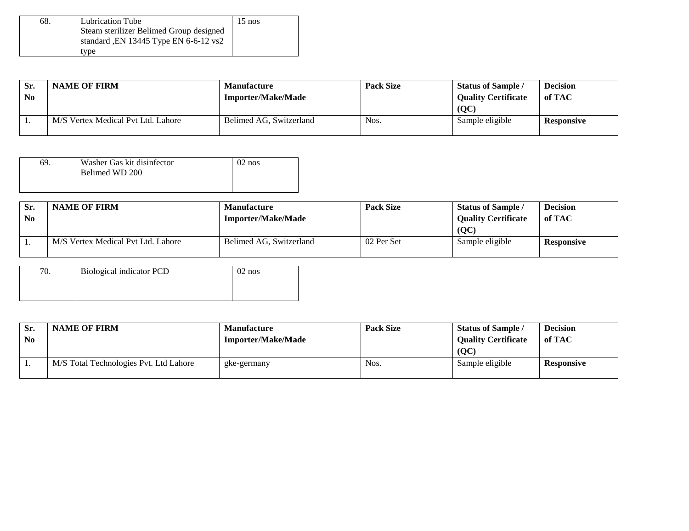| 68. | <b>Lubrication Tube</b>                 | $15$ nos |
|-----|-----------------------------------------|----------|
|     | Steam sterilizer Belimed Group designed |          |
|     | standard , EN 13445 Type EN 6-6-12 vs2  |          |
|     | type                                    |          |

| Sr.<br>N <sub>0</sub> | <b>NAME OF FIRM</b>                | <b>Manufacture</b><br><b>Importer/Make/Made</b> | <b>Pack Size</b> | <b>Status of Sample</b><br><b>Ouality Certificate</b><br>(OC) | <b>Decision</b><br>of TAC |
|-----------------------|------------------------------------|-------------------------------------------------|------------------|---------------------------------------------------------------|---------------------------|
|                       | M/S Vertex Medical Pvt Ltd. Lahore | Belimed AG, Switzerland                         | Nos.             | Sample eligible                                               | <b>Responsive</b>         |

| 69 | Washer Gas kit disinfector | $02$ nos |
|----|----------------------------|----------|
|    | Belimed WD 200             |          |
|    |                            |          |

| Sr. | <b>NAME OF FIRM</b>                | Manufacture               | <b>Pack Size</b> | <b>Status of Sample /</b>  | <b>Decision</b>   |
|-----|------------------------------------|---------------------------|------------------|----------------------------|-------------------|
| No  |                                    | <b>Importer/Make/Made</b> |                  | <b>Quality Certificate</b> | of TAC            |
|     |                                    |                           |                  | (OC)                       |                   |
|     | M/S Vertex Medical Pvt Ltd. Lahore | Belimed AG, Switzerland   | 02 Per Set       | Sample eligible            | <b>Responsive</b> |

| 70. | Biological indicator PCD | $02$ nos |
|-----|--------------------------|----------|
|     |                          |          |
|     |                          |          |

| Sr.            | <b>NAME OF FIRM</b>                    | <b>Manufacture</b>        | <b>Pack Size</b> | <b>Status of Sample /</b>  | <b>Decision</b>   |
|----------------|----------------------------------------|---------------------------|------------------|----------------------------|-------------------|
| N <sub>0</sub> |                                        | <b>Importer/Make/Made</b> |                  | <b>Quality Certificate</b> | of TAC            |
|                |                                        |                           |                  | (OC)                       |                   |
|                | M/S Total Technologies Pvt. Ltd Lahore | gke-germany               | Nos.             | Sample eligible            | <b>Responsive</b> |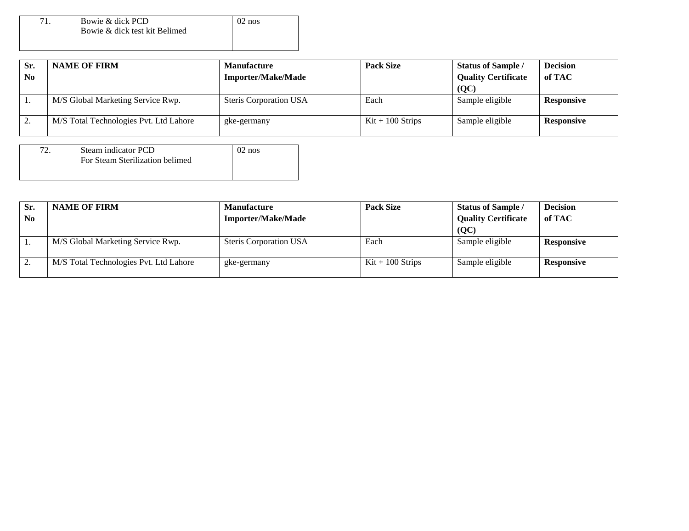| Bowie & dick PCD              | $02$ nos |
|-------------------------------|----------|
| Bowie & dick test kit Belimed |          |
|                               |          |

| Sr.            | <b>NAME OF FIRM</b>                    | <b>Manufacture</b>        | <b>Pack Size</b>   | <b>Status of Sample /</b>  | <b>Decision</b>   |
|----------------|----------------------------------------|---------------------------|--------------------|----------------------------|-------------------|
| N <sub>0</sub> |                                        | <b>Importer/Make/Made</b> |                    | <b>Quality Certificate</b> | of TAC            |
|                |                                        |                           |                    | (OC)                       |                   |
|                | M/S Global Marketing Service Rwp.      | Steris Corporation USA    | Each               | Sample eligible            | <b>Responsive</b> |
|                | M/S Total Technologies Pvt. Ltd Lahore | gke-germany               | $Kit + 100$ Strips | Sample eligible            | <b>Responsive</b> |

| ℸ | Steam indicator PCD             | $02$ nos |
|---|---------------------------------|----------|
|   | For Steam Sterilization belimed |          |
|   |                                 |          |

| Sr.            | <b>NAME OF FIRM</b>                    | <b>Manufacture</b>        | <b>Pack Size</b>   | <b>Status of Sample /</b>  | <b>Decision</b>   |
|----------------|----------------------------------------|---------------------------|--------------------|----------------------------|-------------------|
| N <sub>0</sub> |                                        | <b>Importer/Make/Made</b> |                    | <b>Quality Certificate</b> | of TAC            |
|                |                                        |                           |                    | (QC)                       |                   |
|                | M/S Global Marketing Service Rwp.      | Steris Corporation USA    | Each               | Sample eligible            | <b>Responsive</b> |
|                | M/S Total Technologies Pvt. Ltd Lahore | gke-germany               | $Kit + 100$ Strips | Sample eligible            | <b>Responsive</b> |